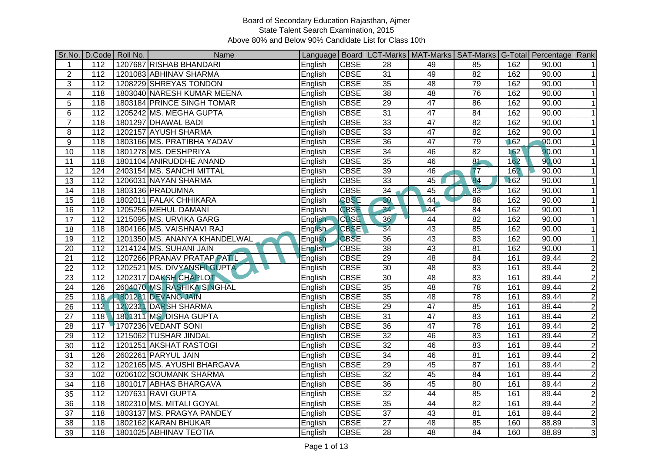|                  |                  | Sr.No.   D.Code   Roll No. | Name                          |                |             |                 | Language   Board   LCT-Marks   MAT-Marks   SAT-Marks   G-Total   Percentage   Rank |                 |     |                    |                          |
|------------------|------------------|----------------------------|-------------------------------|----------------|-------------|-----------------|------------------------------------------------------------------------------------|-----------------|-----|--------------------|--------------------------|
| $\mathbf{1}$     | 112              |                            | 1207687 RISHAB BHANDARI       | English        | <b>CBSE</b> | $\overline{28}$ | 49                                                                                 | 85              | 162 | 90.00              | $\overline{1}$           |
| $\overline{2}$   | $\overline{112}$ |                            | 1201083 ABHINAV SHARMA        | English        | <b>CBSE</b> | $\overline{31}$ | 49                                                                                 | 82              | 162 | 90.00              | $\overline{1}$           |
| $\overline{3}$   | 112              |                            | 1208229 SHREYAS TONDON        | English        | <b>CBSE</b> | 35              | 48                                                                                 | 79              | 162 | 90.00              | $\mathbf{1}$             |
| $\overline{4}$   | 118              |                            | 1803040 NARESH KUMAR MEENA    | English        | <b>CBSE</b> | 38              | 48                                                                                 | 76              | 162 | 90.00              | $\mathbf{1}$             |
| 5                | 118              |                            | 1803184 PRINCE SINGH TOMAR    | English        | <b>CBSE</b> | $\overline{29}$ | 47                                                                                 | 86              | 162 | 90.00              | 1                        |
| $\overline{6}$   | $\frac{11}{2}$   |                            | 1205242 MS. MEGHA GUPTA       | English        | <b>CBSE</b> | 31              | 47                                                                                 | 84              | 162 | 90.00              | $\mathbf{1}$             |
| $\overline{7}$   | 118              |                            | 1801297 DHAWAL BADI           | English        | <b>CBSE</b> | 33              | 47                                                                                 | 82              | 162 | 90.00              | $\mathbf{1}$             |
| 8                | $\frac{11}{2}$   |                            | 1202157 AYUSH SHARMA          | English        | <b>CBSE</b> | 33              | 47                                                                                 | $\overline{82}$ | 162 | 90.00              | $\overline{1}$           |
| $\boldsymbol{9}$ | 118              |                            | 1803166 MS. PRATIBHA YADAV    | English        | <b>CBSE</b> | 36              | 47                                                                                 | 79              | 162 | 90.00              | $\mathbf{1}$             |
| 10               | 118              |                            | 1801278 MS. DESHPRIYA         | English        | <b>CBSE</b> | 34              | 46                                                                                 | 82              | 162 | 90.00              | $\mathbf{1}$             |
| $\overline{11}$  | 118              |                            | 1801104 ANIRUDDHE ANAND       | English        | <b>CBSE</b> | 35              | 46                                                                                 | 81              | 162 | 90.00              | $\mathbf{1}$             |
| 12               | 124              |                            | 2403154 MS. SANCHI MITTAL     | English        | <b>CBSE</b> | 39              | 46                                                                                 | 77              | 162 | 90.00              | $\mathbf{1}$             |
| 13               | 112              |                            | 1206031 NAYAN SHARMA          | English        | <b>CBSE</b> | 33              | 45                                                                                 | 84              | 162 | 90.00              | $\mathbf{1}$             |
| 14               | 118              |                            | 1803136 PRADUMNA              | English        | <b>CBSE</b> | 34              | 45                                                                                 | $\overline{83}$ | 162 | 90.00              | $\mathbf{1}$             |
| $\overline{15}$  | 118              |                            | 1802011 FALAK CHHIKARA        | English        | <b>CBSE</b> | 30              | 44                                                                                 | 88              | 162 | 90.00              | $\mathbf{1}$             |
| 16               | $\frac{11}{2}$   |                            | 1205256 MEHUL DAMANI          | English        | <b>CBSE</b> | 34              | 44                                                                                 | 84              | 162 | $\overline{90.00}$ | $\overline{\phantom{0}}$ |
| 17               | 112              |                            | 1215095 MS. URVIKA GARG       | English        | <b>CBSE</b> | 36              | $\overline{44}$                                                                    | 82              | 162 | 90.00              | $\overline{1}$           |
| $\overline{18}$  | 118              |                            | 1804166 MS. VAISHNAVI RAJ     | <b>English</b> | <b>CBSE</b> | 34              | 43                                                                                 | 85              | 162 | 90.00              | $\overline{1}$           |
| $\overline{19}$  | $\frac{11}{2}$   |                            | 1201350 MS. ANANYA KHANDELWAL | English        | <b>CBSE</b> | $\overline{36}$ | 43                                                                                 | 83              | 162 | 90.00              | $\mathbf{1}$             |
| 20               | 112              |                            | 1214124 MS. SUHANI JAIN       | English        | <b>CBSE</b> | $\overline{38}$ | $\overline{43}$                                                                    | 81              | 162 | 90.00              | $\mathbf{1}$             |
| $\overline{21}$  | 112              |                            | 1207266 PRANAV PRATAP PATIL   | English        | <b>CBSE</b> | 29              | 48                                                                                 | 84              | 161 | 89.44              | $\overline{2}$           |
| $\overline{22}$  | 112              |                            | 1202521 MS. DIVYANSHI GUPTA   | English        | <b>CBSE</b> | 30              | $\overline{48}$                                                                    | 83              | 161 | 89.44              | $\overline{2}$           |
| $\overline{23}$  | 112              |                            | 1202317 DAKSH CHAPLOT         | English        | <b>CBSE</b> | 30              | 48                                                                                 | 83              | 161 | 89.44              | $\overline{2}$           |
| $\overline{24}$  | 126              |                            | 2604070 MS. RASHIKA SINGHAL   | English        | <b>CBSE</b> | 35              | 48                                                                                 | 78              | 161 | 89.44              | $\overline{2}$           |
| 25               | 118              |                            | 1801281 DEVANG JAIN           | English        | <b>CBSE</b> | 35              | 48                                                                                 | 78              | 161 | 89.44              | $\overline{2}$           |
| 26               | 112              |                            | 1202321 DARSH SHARMA          | English        | <b>CBSE</b> | $\overline{29}$ | 47                                                                                 | 85              | 161 | 89.44              | $\overline{2}$           |
| 27               | 118              |                            | 1801311 MS. DISHA GUPTA       | English        | <b>CBSE</b> | 31              | 47                                                                                 | 83              | 161 | 89.44              | $\overline{2}$           |
| 28               | 117              |                            | 1707236 VEDANT SONI           | English        | <b>CBSE</b> | 36              | 47                                                                                 | 78              | 161 | 89.44              | $\overline{2}$           |
| 29               | $\frac{11}{2}$   |                            | 1215062 TUSHAR JINDAL         | English        | <b>CBSE</b> | 32              | 46                                                                                 | 83              | 161 | 89.44              | $\overline{2}$           |
| 30               | 112              |                            | 1201251 AKSHAT RASTOGI        | English        | <b>CBSE</b> | 32              | 46                                                                                 | 83              | 161 | 89.44              | $\overline{2}$           |
| 31               | 126              |                            | 2602261 PARYUL JAIN           | English        | <b>CBSE</b> | 34              | 46                                                                                 | 81              | 161 | 89.44              | $\overline{2}$           |
| 32               | 112              |                            | 1202165 MS. AYUSHI BHARGAVA   | English        | <b>CBSE</b> | 29              | 45                                                                                 | 87              | 161 | 89.44              | $\overline{2}$           |
| 33               | 102              |                            | 0206102 SOUMANK SHARMA        | English        | <b>CBSE</b> | $\overline{32}$ | 45                                                                                 | $\overline{84}$ | 161 | 89.44              | $\overline{2}$           |
| $\overline{34}$  | 118              |                            | 1801017 ABHAS BHARGAVA        | English        | <b>CBSE</b> | $\overline{36}$ | 45                                                                                 | 80              | 161 | 89.44              | $\overline{2}$           |
| $\overline{35}$  | 112              |                            | 1207631 RAVI GUPTA            | English        | <b>CBSE</b> | $\overline{32}$ | 44                                                                                 | 85              | 161 | 89.44              | $\overline{2}$           |
| $\overline{36}$  | 118              |                            | 1802310 MS. MITALI GOYAL      | English        | <b>CBSE</b> | $\overline{35}$ | $\overline{44}$                                                                    | $\overline{82}$ | 161 | 89.44              | $\overline{2}$           |
| $\overline{37}$  | 118              |                            | 1803137 MS. PRAGYA PANDEY     | English        | <b>CBSE</b> | $\overline{37}$ | 43                                                                                 | 81              | 161 | 89.44              | $\overline{2}$           |
| $\overline{38}$  | 118              |                            | 1802162 KARAN BHUKAR          | English        | <b>CBSE</b> | $\overline{27}$ | 48                                                                                 | 85              | 160 | 88.89              | دن                       |
| 39               | 118              |                            | 1801025 ABHINAV TEOTIA        | English        | <b>CBSE</b> | $\overline{28}$ | 48                                                                                 | $\overline{84}$ | 160 | 88.89              | دن                       |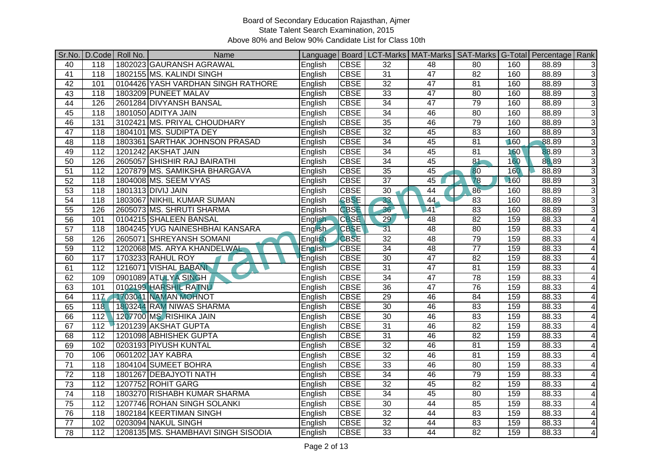|                 |                  | Sr.No. D.Code Roll No. | Name                                |                |             |                 | Language   Board   LCT-Marks   MAT-Marks   SAT-Marks   G-Total   Percentage   Rank |                 |     |       |                |
|-----------------|------------------|------------------------|-------------------------------------|----------------|-------------|-----------------|------------------------------------------------------------------------------------|-----------------|-----|-------|----------------|
| 40              | 118              |                        | 1802023 GAURANSH AGRAWAL            | English        | <b>CBSE</b> | 32              | 48                                                                                 | 80              | 160 | 88.89 | 3              |
| 41              | 118              |                        | 1802155 MS. KALINDI SINGH           | English        | <b>CBSE</b> | $\overline{31}$ | 47                                                                                 | $\overline{82}$ | 160 | 88.89 | 3              |
| 42              | 101              |                        | 0104426 YASH VARDHAN SINGH RATHORE  | English        | <b>CBSE</b> | 32              | 47                                                                                 | 81              | 160 | 88.89 | 3              |
| 43              | 118              |                        | 1803209 PUNEET MALAV                | English        | <b>CBSE</b> | 33              | 47                                                                                 | 80              | 160 | 88.89 | 3              |
| $\overline{44}$ | 126              |                        | 2601284 DIVYANSH BANSAL             | English        | <b>CBSE</b> | $\overline{34}$ | $\overline{47}$                                                                    | 79              | 160 | 88.89 | 3              |
| 45              | 118              |                        | 1801050 ADITYA JAIN                 | English        | <b>CBSE</b> | 34              | 46                                                                                 | $\overline{80}$ | 160 | 88.89 | 3              |
| 46              | 131              |                        | 3102421 MS. PRIYAL CHOUDHARY        | English        | <b>CBSE</b> | 35              | 46                                                                                 | 79              | 160 | 88.89 | $\overline{3}$ |
| 47              | 118              |                        | 1804101 MS. SUDIPTA DEY             | English        | <b>CBSE</b> | 32              | 45                                                                                 | 83              | 160 | 88.89 | 3              |
| 48              | 118              |                        | 1803361 SARTHAK JOHNSON PRASAD      | English        | <b>CBSE</b> | $\overline{34}$ | 45                                                                                 | $\overline{81}$ | 160 | 88.89 | 3              |
| 49              | $\overline{112}$ |                        | 1201242 AKSHAT JAIN                 | English        | <b>CBSE</b> | $\overline{34}$ | 45                                                                                 | $\overline{81}$ | 160 | 88.89 | 3              |
| 50              | 126              |                        | 2605057 SHISHIR RAJ BAIRATHI        | English        | <b>CBSE</b> | $\overline{34}$ | 45                                                                                 | 81              | 160 | 88.89 | 3              |
| 51              | 112              |                        | 1207879 MS. SAMIKSHA BHARGAVA       | English        | <b>CBSE</b> | 35              | 45                                                                                 | 80              | 160 | 88.89 | 3              |
| 52              | 118              |                        | 1804008 MS. SEEM VYAS               | English        | <b>CBSE</b> | $\overline{37}$ | 45                                                                                 | 78              | 160 | 88.89 | 3              |
| 53              | 118              |                        | 1801313 DIVIJ JAIN                  | English        | <b>CBSE</b> | 30              | 44                                                                                 | 86              | 160 | 88.89 | 3              |
| $\overline{54}$ | 118              |                        | 1803067 NIKHIL KUMAR SUMAN          | English        | <b>CBSE</b> | 33              | 44                                                                                 | 83              | 160 | 88.89 | $\overline{3}$ |
| $\overline{55}$ | 126              |                        | 2605073 MS. SHRUTI SHARMA           | English        | <b>CBSE</b> | 36              | 41                                                                                 | 83              | 160 | 88.89 | 3              |
| 56              | 101              |                        | 0104215 SHALEEN BANSAL              | English        | <b>CBSE</b> | 29              | 48                                                                                 | 82              | 159 | 88.33 | 4              |
| $\overline{57}$ | 118              |                        | 1804245 YUG NAINESHBHAI KANSARA     | <b>English</b> | <b>CBSE</b> | $\overline{31}$ | 48                                                                                 | 80              | 159 | 88.33 | 4              |
| 58              | 126              |                        | 2605071 SHREYANSH SOMANI            | English        | <b>CBSE</b> | 32              | 48                                                                                 | 79              | 159 | 88.33 | 4              |
| 59              | $\frac{11}{2}$   |                        | 1202068 MS. ARYA KHANDELWAL         | English        | <b>CBSE</b> | $\overline{34}$ | 48                                                                                 | $\overline{77}$ | 159 | 88.33 | 4              |
| 60              | 117              |                        | 1703233 RAHUL ROY                   | English        | <b>CBSE</b> | 30              | 47                                                                                 | 82              | 159 | 88.33 | 4              |
| 61              | 112              |                        | 1216071 VISHAL BABANI               | English        | <b>CBSE</b> | $\overline{31}$ | $\overline{47}$                                                                    | 81              | 159 | 88.33 | 4              |
| 62              | 109              |                        | 0901089 ATULYA SINGH                | English        | <b>CBSE</b> | 34              | 47                                                                                 | 78              | 159 | 88.33 | 4              |
| 63              | 101              |                        | 0102199 HARSHIL RATNU               | English        | <b>CBSE</b> | 36              | 47                                                                                 | 76              | 159 | 88.33 | 4              |
| 64              | 11 <sub>Z</sub>  |                        | 1703041 NAMAN MOHNOT                | English        | <b>CBSE</b> | $\overline{29}$ | 46                                                                                 | 84              | 159 | 88.33 | 4              |
| 65              | 118              |                        | 1803244 RAM NIWAS SHARMA            | English        | <b>CBSE</b> | 30              | 46                                                                                 | 83              | 159 | 88.33 | 4              |
| 66              | 112              |                        | 1207700 MS. RISHIKA JAIN            | English        | <b>CBSE</b> | 30              | 46                                                                                 | 83              | 159 | 88.33 | 4              |
| 67              | 112              |                        | 1201239 AKSHAT GUPTA                | English        | <b>CBSE</b> | 31              | 46                                                                                 | 82              | 159 | 88.33 | 4              |
| 68              | $\frac{11}{2}$   |                        | 1201098 ABHISHEK GUPTA              | English        | <b>CBSE</b> | 31              | 46                                                                                 | $\overline{82}$ | 159 | 88.33 | 4              |
| 69              | 102              |                        | 0203193 PIYUSH KUNTAL               | English        | <b>CBSE</b> | $\overline{32}$ | 46                                                                                 | 81              | 159 | 88.33 | 4              |
| $\overline{70}$ | 106              |                        | 0601202 JAY KABRA                   | English        | <b>CBSE</b> | 32              | 46                                                                                 | 81              | 159 | 88.33 | 4              |
| $\overline{71}$ | 118              |                        | 1804104 SUMEET BOHRA                | English        | <b>CBSE</b> | 33              | 46                                                                                 | $\overline{80}$ | 159 | 88.33 | 4              |
| $\overline{72}$ | 118              |                        | 1801267 DEBAJYOTI NATH              | English        | <b>CBSE</b> | $\overline{34}$ | 46                                                                                 | 79              | 159 | 88.33 | 4              |
| 73              | 112              |                        | 1207752 ROHIT GARG                  | English        | <b>CBSE</b> | 32              | 45                                                                                 | 82              | 159 | 88.33 | 4              |
| $\overline{74}$ | 118              |                        | 1803270 RISHABH KUMAR SHARMA        | English        | <b>CBSE</b> | 34              | 45                                                                                 | 80              | 159 | 88.33 | 4              |
| 75              | 112              |                        | 1207746 ROHAN SINGH SOLANKI         | English        | <b>CBSE</b> | 30              | 44                                                                                 | 85              | 159 | 88.33 | 4              |
| 76              | 118              |                        | 1802184 KEERTIMAN SINGH             | English        | <b>CBSE</b> | $\overline{32}$ | 44                                                                                 | 83              | 159 | 88.33 | 4              |
| $\overline{77}$ | 102              |                        | 0203094 NAKUL SINGH                 | English        | <b>CBSE</b> | 32              | 44                                                                                 | 83              | 159 | 88.33 | 4              |
| 78              | $\overline{112}$ |                        | 1208135 MS. SHAMBHAVI SINGH SISODIA | English        | <b>CBSE</b> | $\overline{33}$ | 44                                                                                 | $\overline{82}$ | 159 | 88.33 | 4              |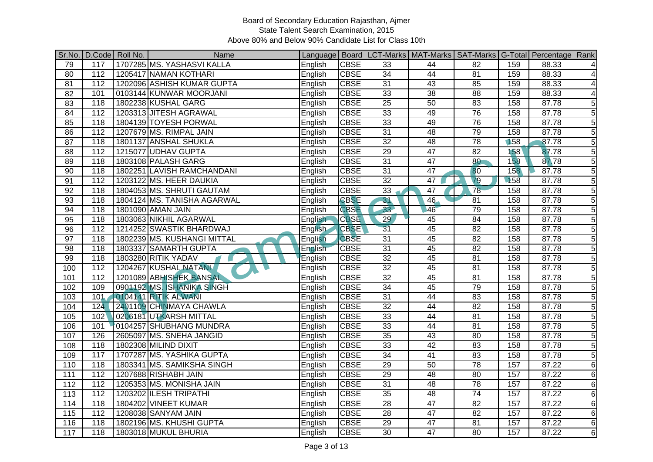|                 |                  | Sr.No.   D.Code   Roll No. | Name                        |                |             |                 | Language   Board   LCT-Marks   MAT-Marks   SAT-Marks   G-Total   Percentage   Rank |                 |     |       |                |
|-----------------|------------------|----------------------------|-----------------------------|----------------|-------------|-----------------|------------------------------------------------------------------------------------|-----------------|-----|-------|----------------|
| 79              | 117              |                            | 1707285 MS. YASHASVI KALLA  | English        | <b>CBSE</b> | 33              | 44                                                                                 | 82              | 159 | 88.33 | $\overline{4}$ |
| 80              | $\overline{112}$ |                            | 1205417 NAMAN KOTHARI       | English        | <b>CBSE</b> | 34              | 44                                                                                 | 81              | 159 | 88.33 | $\overline{4}$ |
| $\overline{81}$ | 112              |                            | 1202096 ASHISH KUMAR GUPTA  | English        | <b>CBSE</b> | 31              | 43                                                                                 | 85              | 159 | 88.33 | 4              |
| 82              | 101              |                            | 0103144 KUNWAR MOORJANI     | English        | <b>CBSE</b> | 33              | 38                                                                                 | $\overline{88}$ | 159 | 88.33 | 4              |
| 83              | 118              |                            | 1802238 KUSHAL GARG         | English        | <b>CBSE</b> | $\overline{25}$ | 50                                                                                 | 83              | 158 | 87.78 | 5              |
| 84              | 112              |                            | 1203313 JITESH AGRAWAL      | English        | <b>CBSE</b> | $\overline{33}$ | 49                                                                                 | 76              | 158 | 87.78 | 5              |
| 85              | 118              |                            | 1804139 TOYESH PORWAL       | English        | <b>CBSE</b> | 33              | 49                                                                                 | 76              | 158 | 87.78 | $\overline{5}$ |
| 86              | 112              |                            | 1207679 MS. RIMPAL JAIN     | English        | <b>CBSE</b> | 31              | 48                                                                                 | 79              | 158 | 87.78 | 5              |
| $\overline{87}$ | 118              |                            | 1801137 ANSHAL SHUKLA       | English        | <b>CBSE</b> | $\overline{32}$ | $\overline{48}$                                                                    | $\overline{78}$ | 158 | 87.78 | $\mathbf 5$    |
| $\overline{88}$ | 112              |                            | 1215077 UDHAV GUPTA         | English        | <b>CBSE</b> | 29              | 47                                                                                 | 82              | 158 | 87.78 | 5              |
| 89              | 118              |                            | 1803108 PALASH GARG         | English        | <b>CBSE</b> | $\overline{31}$ | 47                                                                                 | $\overline{80}$ | 158 | 87.78 | 5              |
| 90              | 118              |                            | 1802251 LAVISH RAMCHANDANI  | English        | <b>CBSE</b> | 31              | $\overline{47}$                                                                    | 80              | 158 | 87.78 | $\overline{5}$ |
| 91              | $\overline{112}$ |                            | 1203122 MS. HEER DAUKIA     | English        | <b>CBSE</b> | $\overline{32}$ | $\overline{47}$                                                                    | $\overline{79}$ | 158 | 87.78 | $\overline{5}$ |
| 92              | 118              |                            | 1804053 MS. SHRUTI GAUTAM   | English        | <b>CBSE</b> | 33              | 47                                                                                 | $\overline{78}$ | 158 | 87.78 | $\overline{5}$ |
| 93              | 118              |                            | 1804124 MS. TANISHA AGARWAL | English        | <b>CBSE</b> | 31              | 46                                                                                 | 81              | 158 | 87.78 | $\overline{5}$ |
| 94              | 118              |                            | 1801090 AMAN JAIN           | English        | <b>CBSE</b> | 33              | 46                                                                                 | 79              | 158 | 87.78 | $\mathbf 5$    |
| $\overline{95}$ | 118              |                            | 1803063 NIKHIL AGARWAL      | English        | <b>CBSE</b> | $\overline{29}$ | 45                                                                                 | 84              | 158 | 87.78 | $\overline{5}$ |
| 96              | $\overline{112}$ |                            | 1214252 SWASTIK BHARDWAJ    | <b>English</b> | <b>CBSE</b> | $\overline{31}$ | 45                                                                                 | 82              | 158 | 87.78 | 5              |
| $\overline{97}$ | 118              |                            | 1802239 MS. KUSHANGI MITTAL | English        | <b>CBSE</b> | 31              | 45                                                                                 | $\overline{82}$ | 158 | 87.78 | 5              |
| 98              | 118              |                            | 1803337 SAMARTH GUPTA       | English        | <b>CBSE</b> | $\overline{31}$ | 45                                                                                 | 82              | 158 | 87.78 | $\sqrt{5}$     |
| 99              | 118              |                            | 1803280 RITIK YADAV         | English        | <b>CBSE</b> | 32              | 45                                                                                 | 81              | 158 | 87.78 | $\overline{5}$ |
| 100             | 112              |                            | 1204267 KUSHAL NATANN       | English        | <b>CBSE</b> | 32              | 45                                                                                 | 81              | 158 | 87.78 | 5              |
| 101             | 112              |                            | 1201089 ABHISHEK BANSAL     | English        | <b>CBSE</b> | $\overline{32}$ | 45                                                                                 | 81              | 158 | 87.78 | $\overline{5}$ |
| 102             | 109              |                            | 0901192 MS. SHANIKA SINGH   | English        | <b>CBSE</b> | 34              | 45                                                                                 | 79              | 158 | 87.78 | $\sqrt{5}$     |
| 103             | 101              |                            | 0104141 RITIK ALWANI        | English        | <b>CBSE</b> | 31              | 44                                                                                 | 83              | 158 | 87.78 | 5              |
| 104             | 124              |                            | 2401109 CHINMAYA CHAWLA     | English        | <b>CBSE</b> | $\overline{32}$ | $\overline{44}$                                                                    | $\overline{82}$ | 158 | 87.78 | $\mathbf 5$    |
| 105             | 102              |                            | 0206181 UTKARSH MITTAL      | English        | <b>CBSE</b> | 33              | $\overline{44}$                                                                    | 81              | 158 | 87.78 | 5              |
| 106             | 101              |                            | 0104257 SHUBHANG MUNDRA     | English        | <b>CBSE</b> | 33              | 44                                                                                 | 81              | 158 | 87.78 | $\overline{5}$ |
| 107             | 126              |                            | 2605097 MS. SNEHA JANGID    | English        | <b>CBSE</b> | 35              | $\overline{43}$                                                                    | 80              | 158 | 87.78 | $\overline{5}$ |
| 108             | 118              |                            | 1802308 MILIND DIXIT        | English        | <b>CBSE</b> | 33              | 42                                                                                 | 83              | 158 | 87.78 | $\overline{5}$ |
| 109             | 117              |                            | 1707287 MS. YASHIKA GUPTA   | English        | <b>CBSE</b> | 34              | 41                                                                                 | 83              | 158 | 87.78 | 5              |
| 110             | 118              |                            | 1803341 MS. SAMIKSHA SINGH  | English        | <b>CBSE</b> | 29              | 50                                                                                 | 78              | 157 | 87.22 | $\,6$          |
| 111             | 112              |                            | 1207688 RISHABH JAIN        | English        | <b>CBSE</b> | $\overline{29}$ | $\overline{48}$                                                                    | $\overline{80}$ | 157 | 87.22 | $\sigma$       |
| 112             | 112              |                            | 1205353 MS. MONISHA JAIN    | English        | <b>CBSE</b> | 31              | 48                                                                                 | 78              | 157 | 87.22 | $6\phantom{1}$ |
| 113             | 112              |                            | 1203202 ILESH TRIPATHI      | English        | <b>CBSE</b> | 35              | 48                                                                                 | 74              | 157 | 87.22 | $\,6$          |
| 114             | 118              |                            | 1804202 VINEET KUMAR        | English        | <b>CBSE</b> | $\overline{28}$ | $\overline{47}$                                                                    | 82              | 157 | 87.22 | $\,6$          |
| 115             | $\frac{11}{2}$   |                            | 1208038 SANYAM JAIN         | English        | <b>CBSE</b> | $\overline{28}$ | $\overline{47}$                                                                    | $\overline{82}$ | 157 | 87.22 | $\,6$          |
| 116             | 118              |                            | 1802196 MS. KHUSHI GUPTA    | English        | <b>CBSE</b> | 29              | 47                                                                                 | 81              | 157 | 87.22 | 6              |
| 117             | $\overline{118}$ |                            | 1803018 MUKUL BHURIA        | English        | <b>CBSE</b> | $\overline{30}$ | $\overline{47}$                                                                    | 80              | 157 | 87.22 | $6\phantom{1}$ |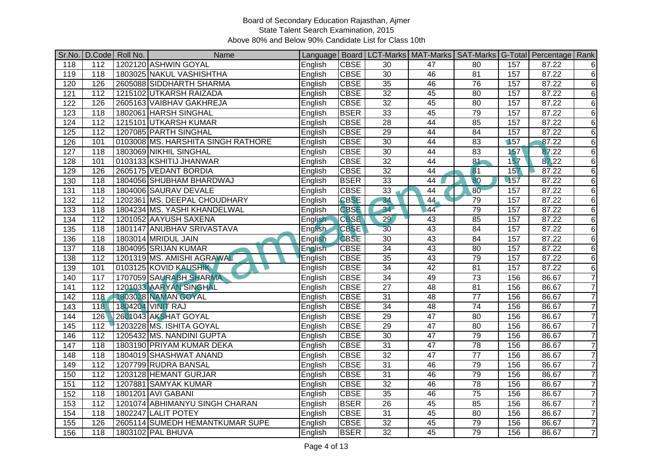|                  |                  | Sr.No.   D.Code   Roll No. | Name                               |                |             |                 | Language   Board   LCT-Marks   MAT-Marks   SAT-Marks   G-Total   Percentage   Rank |                 |     |       |                |
|------------------|------------------|----------------------------|------------------------------------|----------------|-------------|-----------------|------------------------------------------------------------------------------------|-----------------|-----|-------|----------------|
| 118              | 112              |                            | 1202120 ASHWIN GOYAL               | English        | <b>CBSE</b> | 30              | 47                                                                                 | 80              | 157 | 87.22 | 6              |
| 119              | 118              |                            | 1803025 NAKUL VASHISHTHA           | English        | <b>CBSE</b> | $\overline{30}$ | 46                                                                                 | $\overline{81}$ | 157 | 87.22 | $\,6$          |
| 120              | 126              |                            | 2605088 SIDDHARTH SHARMA           | English        | <b>CBSE</b> | 35              | 46                                                                                 | 76              | 157 | 87.22 | $\,6$          |
| 121              | $\overline{112}$ |                            | 1215102 UTKARSH RAIZADA            | English        | <b>CBSE</b> | 32              | 45                                                                                 | 80              | 157 | 87.22 | $\,6$          |
| 122              | 126              |                            | 2605163 VAIBHAV GAKHREJA           | English        | <b>CBSE</b> | 32              | 45                                                                                 | 80              | 157 | 87.22 | $\,6$          |
| 123              | 118              |                            | 1802061 HARSH SINGHAL              | English        | <b>BSER</b> | 33              | 45                                                                                 | 79              | 157 | 87.22 | $\,6$          |
| 124              | 112              |                            | 1215101 UTKARSH KUMAR              | English        | <b>CBSE</b> | 28              | 44                                                                                 | 85              | 157 | 87.22 | $\,6$          |
| 125              | 112              |                            | 1207085 PARTH SINGHAL              | English        | <b>CBSE</b> | $\overline{29}$ | 44                                                                                 | 84              | 157 | 87.22 | $\,6$          |
| 126              | 101              |                            | 0103008 MS. HARSHITA SINGH RATHORE | English        | <b>CBSE</b> | 30              | 44                                                                                 | 83              | 157 | 87.22 | $\,6$          |
| $\overline{127}$ | $\overline{118}$ |                            | 1803069 NIKHIL SINGHAL             | English        | <b>CBSE</b> | $\overline{30}$ | 44                                                                                 | 83              | 157 | 87.22 | $\,6$          |
| 128              | 101              |                            | 0103133 KSHITIJ JHANWAR            | English        | <b>CBSE</b> | 32              | 44                                                                                 | 81              | 157 | 87.22 | $\,6$          |
| 129              | 126              |                            | 2605175 VEDANT BORDIA              | English        | <b>CBSE</b> | $\overline{32}$ | $\overline{44}$                                                                    | 81              | 157 | 87.22 | $\,6$          |
| 130              | 118              |                            | 1804056 SHUBHAM BHARDWAJ           | English        | <b>BSER</b> | 33              | 44                                                                                 | 80              | 157 | 87.22 | $\,6$          |
| 131              | $\overline{118}$ |                            | 1804006 SAURAV DEVALE              | English        | <b>CBSE</b> | 33              | 44                                                                                 | 80              | 157 | 87.22 | $\,6$          |
| $\overline{132}$ | $\frac{11}{2}$   |                            | 1202361 MS. DEEPAL CHOUDHARY       | English        | <b>CBSE</b> | 34              | 44                                                                                 | 79              | 157 | 87.22 | $\,6$          |
| $\overline{133}$ | 118              |                            | 1804234 MS. YASHI KHANDELWAL       | English        | <b>CBSE</b> | 34              | 44                                                                                 | 79              | 157 | 87.22 | $\,6$          |
| 134              | 112              |                            | 1201052 AAYUSH SAXENA              | English        | <b>CBSE</b> | 29              | 43                                                                                 | 85              | 157 | 87.22 | $\,6$          |
| $\overline{135}$ | 118              |                            | 1801147 ANUBHAV SRIVASTAVA         | <b>English</b> | <b>CBSE</b> | 30              | 43                                                                                 | 84              | 157 | 87.22 | $6\phantom{1}$ |
| 136              | 118              |                            | 1803014 MRIDUL JAIN                | English        | <b>CBSE</b> | $\overline{30}$ | 43                                                                                 | 84              | 157 | 87.22 | $\,6$          |
| 137              | 118              |                            | 1804095 SRIJAN KUMAR               | English        | <b>CBSE</b> | 34              | 43                                                                                 | 80              | 157 | 87.22 | $\,6$          |
| 138              | $\overline{112}$ |                            | 1201319 MS. AMISHI AGRAWAL         | English        | <b>CBSE</b> | 35              | 43                                                                                 | 79              | 157 | 87.22 | $\,6$          |
| 139              | 101              |                            | 0103125 KOVID KAUSHIK              | English        | <b>CBSE</b> | $\overline{34}$ | 42                                                                                 | $\overline{81}$ | 157 | 87.22 | $\,6$          |
| 140              | 117              |                            | 1707059 SAURABH SHARMA             | English        | <b>CBSE</b> | $\overline{34}$ | 49                                                                                 | $\overline{73}$ | 156 | 86.67 | $\overline{7}$ |
| 141              | $\overline{112}$ |                            | 1201033 AARYAN SINGHAL             | English        | <b>CBSE</b> | $\overline{27}$ | 48                                                                                 | 81              | 156 | 86.67 | $\overline{7}$ |
| 142              | 118              |                            | 1803028 NAMAN GOYAL                | English        | <b>CBSE</b> | 31              | 48                                                                                 | $\overline{77}$ | 156 | 86.67 | $\overline{7}$ |
| 143              | 118              |                            | 1804204 VINIT RAJ                  | English        | <b>CBSE</b> | 34              | 48                                                                                 | 74              | 156 | 86.67 | $\overline{7}$ |
| 144              | 126              |                            | 2601043 AKSHAT GOYAL               | English        | <b>CBSE</b> | $\overline{29}$ | $\overline{47}$                                                                    | 80              | 156 | 86.67 | $\overline{7}$ |
| 145              | 112              |                            | 1203228 MS. ISHITA GOYAL           | English        | <b>CBSE</b> | 29              | $\overline{47}$                                                                    | 80              | 156 | 86.67 | $\overline{7}$ |
| 146              | 112              |                            | 1205432 MS. NANDINI GUPTA          | English        | <b>CBSE</b> | 30              | 47                                                                                 | 79              | 156 | 86.67 | $\overline{7}$ |
| 147              | $\overline{118}$ |                            | 1803190 PRIYAM KUMAR DEKA          | English        | <b>CBSE</b> | 31              | 47                                                                                 | 78              | 156 | 86.67 | $\overline{7}$ |
| 148              | $\overline{118}$ |                            | 1804019 SHASHWAT ANAND             | English        | <b>CBSE</b> | 32              | 47                                                                                 | $\overline{77}$ | 156 | 86.67 | $\overline{7}$ |
| 149              | 112              |                            | 1207799 RUDRA BANSAL               | English        | <b>CBSE</b> | 31              | 46                                                                                 | 79              | 156 | 86.67 | $\overline{7}$ |
| 150              | 112              |                            | 1203128 HEMANT GURJAR              | English        | <b>CBSE</b> | $\overline{31}$ | 46                                                                                 | 79              | 156 | 86.67 | $\overline{7}$ |
| 151              | 112              |                            | 1207881 SAMYAK KUMAR               | English        | <b>CBSE</b> | $\overline{32}$ | 46                                                                                 | 78              | 156 | 86.67 | $\overline{7}$ |
| 152              | 118              |                            | 1801201 AVI GABANI                 | English        | <b>CBSE</b> | 35              | 46                                                                                 | 75              | 156 | 86.67 | $\overline{7}$ |
| 153              | 112              |                            | 1201074 ABHIMANYU SINGH CHARAN     | English        | <b>BSER</b> | 26              | 45                                                                                 | 85              | 156 | 86.67 | $\overline{7}$ |
| 154              | 118              |                            | 1802247 LALIT POTEY                | English        | <b>CBSE</b> | 31              | 45                                                                                 | 80              | 156 | 86.67 | $\overline{7}$ |
| 155              | 126              |                            | 2605114 SUMEDH HEMANTKUMAR SUPE    | English        | <b>CBSE</b> | 32              | 45                                                                                 | 79              | 156 | 86.67 | $\overline{7}$ |
| 156              | 118              |                            | 1803102 PAL BHUVA                  | English        | <b>BSER</b> | $\overline{32}$ | 45                                                                                 | 79              | 156 | 86.67 | $\overline{7}$ |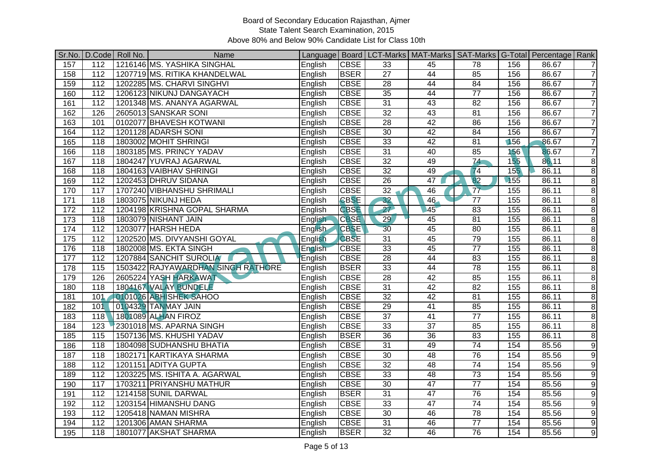|                  |                  | Sr.No.   D.Code   Roll No. | Name                               |                |             |                 | Language   Board   LCT-Marks   MAT-Marks   SAT-Marks   G-Total   Percentage   Rank |                 |     |       |                |
|------------------|------------------|----------------------------|------------------------------------|----------------|-------------|-----------------|------------------------------------------------------------------------------------|-----------------|-----|-------|----------------|
| 157              | 112              |                            | 1216146 MS. YASHIKA SINGHAL        | English        | <b>CBSE</b> | $\overline{33}$ | 45                                                                                 | 78              | 156 | 86.67 | $\overline{7}$ |
| 158              | 112              |                            | 1207719 MS. RITIKA KHANDELWAL      | English        | <b>BSER</b> | $\overline{27}$ | 44                                                                                 | 85              | 156 | 86.67 | $\overline{7}$ |
| 159              | 112              |                            | 1202285 MS. CHARVI SINGHVI         | English        | <b>CBSE</b> | 28              | 44                                                                                 | 84              | 156 | 86.67 | $\overline{7}$ |
| 160              | $\overline{112}$ |                            | 1206123 NIKUNJ DANGAYACH           | English        | <b>CBSE</b> | 35              | 44                                                                                 | $\overline{77}$ | 156 | 86.67 | $\overline{7}$ |
| 161              | 112              |                            | 1201348 MS. ANANYA AGARWAL         | English        | <b>CBSE</b> | $\overline{31}$ | 43                                                                                 | 82              | 156 | 86.67 | $\overline{7}$ |
| 162              | 126              |                            | 2605013 SANSKAR SONI               | English        | <b>CBSE</b> | 32              | 43                                                                                 | 81              | 156 | 86.67 | $\overline{7}$ |
| 163              | 101              |                            | 0102077 BHAVESH KOTWANI            | English        | <b>CBSE</b> | 28              | 42                                                                                 | 86              | 156 | 86.67 | $\overline{7}$ |
| 164              | $\frac{11}{2}$   |                            | 1201128 ADARSH SONI                | English        | <b>CBSE</b> | 30              | 42                                                                                 | 84              | 156 | 86.67 | $\overline{7}$ |
| 165              | 118              |                            | 1803002 MOHIT SHRINGI              | English        | <b>CBSE</b> | $\overline{33}$ | 42                                                                                 | 81              | 156 | 86.67 | $\overline{7}$ |
| 166              | 118              |                            | 1803185 MS. PRINCY YADAV           | English        | <b>CBSE</b> | 31              | 40                                                                                 | 85              | 156 | 86.67 | $\overline{7}$ |
| 167              | 118              |                            | 1804247 YUVRAJ AGARWAL             | English        | <b>CBSE</b> | $\overline{32}$ | 49                                                                                 | 74              | 155 | 86.11 | 8              |
| 168              | 118              |                            | 1804163 VAIBHAV SHRINGI            | English        | <b>CBSE</b> | $\overline{32}$ | 49                                                                                 | 74              | 155 | 86.11 | $\overline{8}$ |
| 169              | $\frac{11}{2}$   |                            | 1202453 DHRUV SIDANA               | English        | <b>CBSE</b> | $\overline{26}$ | 47                                                                                 | 82              | 155 | 86.11 | 8              |
| 170              | 117              |                            | 1707240 VIBHANSHU SHRIMALI         | English        | <b>CBSE</b> | 32              | 46                                                                                 | 77              | 155 | 86.11 | $\, 8$         |
| $\overline{171}$ | 118              |                            | 1803075 NIKUNJ HEDA                | English        | <b>CBSE</b> | 32              | 46                                                                                 | $\overline{77}$ | 155 | 86.11 | 8              |
| 172              | 112              |                            | 1204198 KRISHNA GOPAL SHARMA       | English        | <b>CBSE</b> | 27              | 45                                                                                 | 83              | 155 | 86.11 | 8              |
| $\overline{173}$ | 118              |                            | 1803079 NISHANT JAIN               | <b>English</b> | <b>CBSE</b> | 29              | 45                                                                                 | 81              | 155 | 86.11 | 8              |
| 174              | 112              |                            | 1203077 HARSH HEDA                 | English-       | <b>CBSE</b> | 30              | 45                                                                                 | 80              | 155 | 86.11 | 8              |
| $\overline{175}$ | 112              |                            | 1202520 MS. DIVYANSHI GOYAL        | English        | <b>CBSE</b> | 31              | 45                                                                                 | 79              | 155 | 86.11 | 8              |
| 176              | 118              |                            | 1802008 MS. EKTA SINGH             | English        | <b>CBSE</b> | 33              | 45                                                                                 | $\overline{77}$ | 155 | 86.11 | $\, 8$         |
| 177              | 112              |                            | 1207884 SANCHIT SUROLIA            | English        | <b>CBSE</b> | 28              | 44                                                                                 | 83              | 155 | 86.11 | $\overline{8}$ |
| 178              | 115              |                            | 1503422 RAJYAWARDHAN SINGH RATHORE | English        | <b>BSER</b> | 33              | 44                                                                                 | 78              | 155 | 86.11 | 8              |
| 179              | 126              |                            | 2605224 YASH HARKAWAT              | English        | <b>CBSE</b> | 28              | 42                                                                                 | 85              | 155 | 86.11 | 8              |
| 180              | $\overline{118}$ |                            | 1804167 VALAY BUNDELE              | English        | <b>CBSE</b> | 31              | 42                                                                                 | 82              | 155 | 86.11 | 8              |
| 181              | 101              |                            | 0101026 ABHISHEK SAHOO             | English        | <b>CBSE</b> | 32              | 42                                                                                 | 81              | 155 | 86.11 | 8              |
| 182              | 101              |                            | 0104329 TANMAY JAIN                | English        | <b>CBSE</b> | 29              | 41                                                                                 | 85              | 155 | 86.11 | 8              |
| 183              | 118              |                            | 1801089 ALHAN FIROZ                | English        | <b>CBSE</b> | $\overline{37}$ | 41                                                                                 | $\overline{77}$ | 155 | 86.11 | 8              |
| 184              | 123              |                            | 2301018 MS. APARNA SINGH           | English        | <b>CBSE</b> | 33              | $\overline{37}$                                                                    | 85              | 155 | 86.11 | 8              |
| 185              | 115              |                            | 1507136 MS. KHUSHI YADAV           | English        | <b>BSER</b> | $\overline{36}$ | $\overline{36}$                                                                    | 83              | 155 | 86.11 | $\, 8$         |
| 186              | 118              |                            | 1804098 SUDHANSHU BHATIA           | English        | <b>CBSE</b> | 31              | 49                                                                                 | $\overline{74}$ | 154 | 85.56 | $\overline{9}$ |
| 187              | 118              |                            | 1802171 KARTIKAYA SHARMA           | English        | <b>CBSE</b> | 30              | 48                                                                                 | 76              | 154 | 85.56 | 9              |
| 188              | 112              |                            | 1201151 ADITYA GUPTA               | English        | <b>CBSE</b> | 32              | 48                                                                                 | $\overline{74}$ | 154 | 85.56 | $\overline{9}$ |
| 189              | 112              |                            | 1203225 MS. ISHITA A. AGARWAL      | English        | <b>CBSE</b> | 33              | 48                                                                                 | $\overline{73}$ | 154 | 85.56 | 9              |
| 190              | 117              |                            | 1703211 PRIYANSHU MATHUR           | English        | <b>CBSE</b> | 30              | $\overline{47}$                                                                    | $\overline{77}$ | 154 | 85.56 | 9              |
| 191              | 112              |                            | 1214158 SUNIL DARWAL               | English        | <b>BSER</b> | 31              | 47                                                                                 | 76              | 154 | 85.56 | 9              |
| 192              | 112              |                            | 1203154 HIMANSHU DANG              | English        | <b>CBSE</b> | $\overline{33}$ | 47                                                                                 | 74              | 154 | 85.56 | $\overline{9}$ |
| 193              | $\frac{11}{2}$   |                            | 1205418 NAMAN MISHRA               | English        | <b>CBSE</b> | 30              | 46                                                                                 | 78              | 154 | 85.56 | 9              |
| 194              | $\overline{112}$ |                            | 1201306 AMAN SHARMA                | English        | <b>CBSE</b> | 31              | 46                                                                                 | $\overline{77}$ | 154 | 85.56 | 9              |
| 195              | $\overline{118}$ |                            | 1801077 AKSHAT SHARMA              | English        | <b>BSER</b> | $\overline{32}$ | 46                                                                                 | $\overline{76}$ | 154 | 85.56 | 9              |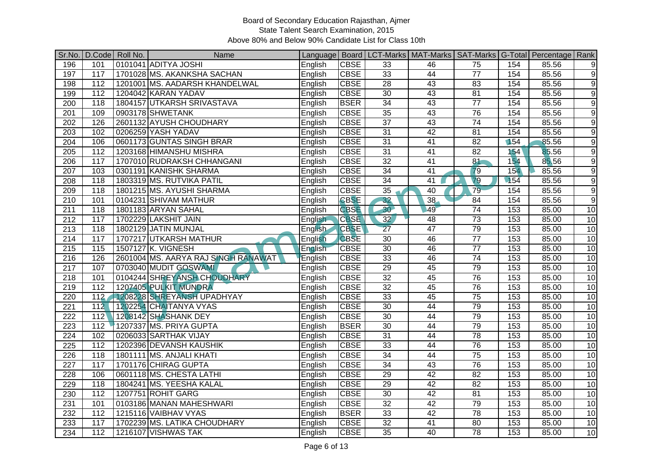|                  |                  | Sr.No.   D.Code   Roll No. | Name                                |          |             |                 | Language   Board   LCT-Marks   MAT-Marks   SAT-Marks   G-Total   Percentage   Rank |                 |     |       |                  |
|------------------|------------------|----------------------------|-------------------------------------|----------|-------------|-----------------|------------------------------------------------------------------------------------|-----------------|-----|-------|------------------|
| 196              | 101              |                            | 0101041 ADITYA JOSHI                | English  | <b>CBSE</b> | 33              | 46                                                                                 | 75              | 154 | 85.56 | 9                |
| 197              | 117              |                            | 1701028 MS. AKANKSHA SACHAN         | English  | <b>CBSE</b> | 33              | 44                                                                                 | $\overline{77}$ | 154 | 85.56 | $\overline{9}$   |
| 198              | 112              |                            | 1201001 MS. AADARSH KHANDELWAL      | English  | <b>CBSE</b> | $\overline{28}$ | 43                                                                                 | 83              | 154 | 85.56 | 9                |
| 199              | $\overline{112}$ |                            | 1204042 KARAN YADAV                 | English  | <b>CBSE</b> | 30              | 43                                                                                 | 81              | 154 | 85.56 | 9                |
| 200              | 118              |                            | 1804157 UTKARSH SRIVASTAVA          | English  | <b>BSER</b> | 34              | 43                                                                                 | $\overline{77}$ | 154 | 85.56 | 9                |
| 201              | 109              |                            | 0903178 SHWETANK                    | English  | <b>CBSE</b> | 35              | 43                                                                                 | 76              | 154 | 85.56 | $\boldsymbol{9}$ |
| $\overline{202}$ | 126              |                            | 2601132 AYUSH CHOUDHARY             | English  | <b>CBSE</b> | 37              | 43                                                                                 | 74              | 154 | 85.56 | $\overline{9}$   |
| 203              | 102              |                            | 0206259 YASH YADAV                  | English  | <b>CBSE</b> | 31              | $\overline{42}$                                                                    | 81              | 154 | 85.56 | 9                |
| 204              | 106              |                            | 0601173 GUNTAS SINGH BRAR           | English  | <b>CBSE</b> | $\overline{31}$ | 41                                                                                 | $\overline{82}$ | 154 | 85.56 | 9                |
| 205              | $\overline{112}$ |                            | 1203168 HIMANSHU MISHRA             | English  | <b>CBSE</b> | $\overline{31}$ | $\overline{41}$                                                                    | $\overline{82}$ | 154 | 85.56 | 9                |
| 206              | 117              |                            | 1707010 RUDRAKSH CHHANGANI          | English  | <b>CBSE</b> | $\overline{32}$ | 41                                                                                 | 81              | 154 | 85.56 | 9                |
| 207              | 103              |                            | 0301191 KANISHK SHARMA              | English  | <b>CBSE</b> | $\overline{34}$ | $\overline{41}$                                                                    | 79              | 154 | 85.56 | 9                |
| 208              | 118              |                            | 1803319 MS. RUTVIKA PATIL           | English  | <b>CBSE</b> | 34              | $\overline{41}$                                                                    | $\overline{79}$ | 154 | 85.56 | $\overline{9}$   |
| 209              | $\overline{118}$ |                            | 1801215 MS. AYUSHI SHARMA           | English  | <b>CBSE</b> | 35              | 40                                                                                 | 79              | 154 | 85.56 | 9                |
| $\overline{210}$ | 101              |                            | 0104231 SHIVAM MATHUR               | English  | <b>CBSE</b> | 32              | 38                                                                                 | $\overline{84}$ | 154 | 85.56 | $\overline{9}$   |
| 211              | 118              |                            | 1801183 ARYAN SAHAL                 | English  | <b>CBSE</b> | 30 <sup>1</sup> | 49                                                                                 | $\overline{74}$ | 153 | 85.00 | 10               |
| $\overline{212}$ | 117              |                            | 1702229 LAKSHIT JAIN                | English  | <b>CBSE</b> | 32              | 48                                                                                 | 73              | 153 | 85.00 | 10               |
| 213              | 118              |                            | 1802129 JATIN MUNJAL                | English- | <b>CBSE</b> | $\overline{27}$ | 47                                                                                 | 79              | 153 | 85.00 | 10               |
| 214              | 117              |                            | 1707217 UTKARSH MATHUR              | English  | <b>CBSE</b> | 30              | 46                                                                                 | $\overline{77}$ | 153 | 85.00 | 10               |
| $\overline{215}$ | 115              |                            | 1507127 K. VIGNESH                  | English  | <b>CBSE</b> | 30              | 46                                                                                 | $\overline{77}$ | 153 | 85.00 | 10               |
| 216              | 126              |                            | 2601004 MS. AARYA RAJ SINGH RANAWAT | English  | <b>CBSE</b> | 33              | 46                                                                                 | 74              | 153 | 85.00 | 10               |
| 217              | 107              |                            | 0703040 MUDIT GOSWAMI               | English  | <b>CBSE</b> | 29              | 45                                                                                 | 79              | 153 | 85.00 | 10               |
| 218              | 101              |                            | 0104244 SHREYANSH CHOUDHARY         | English  | <b>CBSE</b> | $\overline{32}$ | 45                                                                                 | 76              | 153 | 85.00 | 10               |
| 219              | $\overline{112}$ |                            | 1207405 PULKIT MUNDRA               | English  | <b>CBSE</b> | 32              | 45                                                                                 | 76              | 153 | 85.00 | 10               |
| 220              | $\overline{112}$ |                            | 1208228 SHREYANSH UPADHYAY          | English  | <b>CBSE</b> | 33              | 45                                                                                 | $\overline{75}$ | 153 | 85.00 | 10               |
| 221              | 112              |                            | 1202254 CHAITANYA VYAS              | English  | <b>CBSE</b> | 30              | 44                                                                                 | 79              | 153 | 85.00 | 10               |
| 222              | 112              |                            | 1208142 SHASHANK DEY                | English  | <b>CBSE</b> | 30              | $\overline{44}$                                                                    | 79              | 153 | 85.00 | 10               |
| 223              | 112              |                            | 1207337 MS. PRIYA GUPTA             | English  | <b>BSER</b> | 30              | 44                                                                                 | 79              | 153 | 85.00 | 10               |
| $\overline{224}$ | 102              |                            | 0206033 SARTHAK VIJAY               | English  | <b>CBSE</b> | $\overline{31}$ | $\overline{44}$                                                                    | 78              | 153 | 85.00 | 10               |
| $\overline{225}$ | 112              |                            | 1202396 DEVANSH KAUSHIK             | English  | <b>CBSE</b> | 33              | 44                                                                                 | 76              | 153 | 85.00 | 10               |
| $\overline{226}$ | $\overline{118}$ |                            | 1801111 MS. ANJALI KHATI            | English  | <b>CBSE</b> | 34              | 44                                                                                 | 75              | 153 | 85.00 | 10               |
| $\overline{227}$ | 117              |                            | 1701176 CHIRAG GUPTA                | English  | <b>CBSE</b> | 34              | 43                                                                                 | 76              | 153 | 85.00 | 10               |
| 228              | 106              |                            | 0601118 MS. CHESTA LATHI            | English  | <b>CBSE</b> | 29              | 42                                                                                 | $\overline{82}$ | 153 | 85.00 | 10               |
| 229              | 118              |                            | 1804241 MS. YEESHA KALAL            | English  | <b>CBSE</b> | 29              | 42                                                                                 | $\overline{82}$ | 153 | 85.00 | 10               |
| 230              | $\overline{112}$ |                            | 1207751 ROHIT GARG                  | English  | <b>CBSE</b> | 30              | 42                                                                                 | 81              | 153 | 85.00 | 10               |
| 231              | 101              |                            | 0103186 MANAN MAHESHWARI            | English  | <b>CBSE</b> | 32              | 42                                                                                 | 79              | 153 | 85.00 | 10               |
| 232              | 112              |                            | 1215116 VAIBHAV VYAS                | English  | <b>BSER</b> | 33              | 42                                                                                 | 78              | 153 | 85.00 | 10               |
| 233              | 117              |                            | 1702239 MS. LATIKA CHOUDHARY        | English  | <b>CBSE</b> | 32              | 41                                                                                 | 80              | 153 | 85.00 | 10               |
| 234              | 112              |                            | 1216107 VISHWAS TAK                 | English  | <b>CBSE</b> | 35              | 40                                                                                 | 78              | 153 | 85.00 | 10               |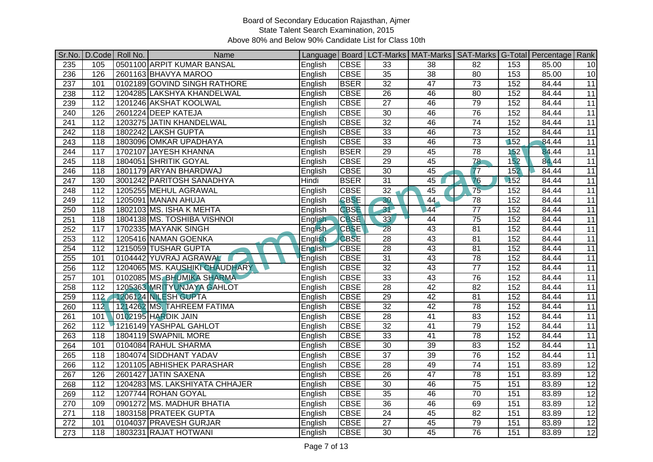| Sr.No.           |                  | D.Code Roll No. | Name                           |         |             |                 | Language   Board   LCT-Marks   MAT-Marks   SAT-Marks   G-Total   Percentage   Rank |                 |        |       |                 |
|------------------|------------------|-----------------|--------------------------------|---------|-------------|-----------------|------------------------------------------------------------------------------------|-----------------|--------|-------|-----------------|
| 235              | 105              |                 | 0501100 ARPIT KUMAR BANSAL     | English | <b>CBSE</b> | 33              | 38                                                                                 | 82              | 153    | 85.00 | 10              |
| 236              | 126              |                 | 2601163 BHAVYA MAROO           | English | <b>CBSE</b> | $\overline{35}$ | 38                                                                                 | 80              | 153    | 85.00 | 10              |
| $\overline{237}$ | 101              |                 | 0102189 GOVIND SINGH RATHORE   | English | <b>BSER</b> | 32              | 47                                                                                 | 73              | 152    | 84.44 | 11              |
| 238              | $\overline{112}$ |                 | 1204285 LAKSHYA KHANDELWAL     | English | <b>CBSE</b> | 26              | 46                                                                                 | 80              | 152    | 84.44 | 11              |
| 239              | 112              |                 | 1201246 AKSHAT KOOLWAL         | English | <b>CBSE</b> | $\overline{27}$ | 46                                                                                 | 79              | 152    | 84.44 | 11              |
| 240              | 126              |                 | 2601224 DEEP KATEJA            | English | <b>CBSE</b> | $\overline{30}$ | 46                                                                                 | 76              | 152    | 84.44 | 11              |
| 241              | $\overline{112}$ |                 | 1203275 JATIN KHANDELWAL       | English | <b>CBSE</b> | 32              | 46                                                                                 | 74              | 152    | 84.44 | $\overline{11}$ |
| 242              | 118              |                 | 1802242 LAKSH GUPTA            | English | <b>CBSE</b> | 33              | 46                                                                                 | 73              | 152    | 84.44 | 11              |
| 243              | 118              |                 | 1803096 OMKAR UPADHAYA         | English | <b>CBSE</b> | 33              | 46                                                                                 | $\overline{73}$ | 152    | 84.44 | 11              |
| 244              | 117              |                 | 1702107 JAYESH KHANNA          | English | <b>BSER</b> | 29              | 45                                                                                 | 78              | 152    | 84.44 | 11              |
| $\overline{245}$ | 118              |                 | 1804051 SHRITIK GOYAL          | English | <b>CBSE</b> | $\overline{29}$ | 45                                                                                 | 78              | 152    | 84.44 | 11              |
| 246              | 118              |                 | 1801179 ARYAN BHARDWAJ         | English | <b>CBSE</b> | 30              | 45                                                                                 | 77              | 152    | 84.44 | 11              |
| 247              | 130              |                 | 3001242 PARITOSH SANADHYA      | Hindi   | <b>BSER</b> | $\overline{31}$ | 45                                                                                 | $\overline{76}$ | $-152$ | 84.44 | 11              |
| 248              | $\overline{112}$ |                 | 1205255 MEHUL AGRAWAL          | English | <b>CBSE</b> | 32              | 45                                                                                 | 75              | 152    | 84.44 | 11              |
| 249              | 112              |                 | 1205091 MANAN AHUJA            | English | <b>CBSE</b> | 30              | 44                                                                                 | 78              | 152    | 84.44 | 11              |
| 250              | 118              |                 | 1802103 MS. ISHA K MEHTA       | English | <b>CBSE</b> | 31              | 44                                                                                 | $\overline{77}$ | 152    | 84.44 | 11              |
| 251              | 118              |                 | 1804138 MS. TOSHIBA VISHNOI    | English | <b>CBSE</b> | 33              | 44                                                                                 | 75              | 152    | 84.44 | 11              |
| 252              | 117              |                 | 1702335 MAYANK SINGH           | English | <b>CBSE</b> | $\overline{28}$ | 43                                                                                 | 81              | 152    | 84.44 | 11              |
| 253              | $\frac{11}{2}$   |                 | 1205416 NAMAN GOENKA           | English | <b>CBSE</b> | $\overline{28}$ | 43                                                                                 | $\overline{81}$ | 152    | 84.44 | 11              |
| 254              | 112              |                 | 1215059 TUSHAR GUPTA           | English | <b>CBSE</b> | $\overline{28}$ | 43                                                                                 | 81              | 152    | 84.44 | 11              |
| 255              | 101              |                 | 0104442 YUVRAJ AGRAWAL         | English | <b>CBSE</b> | 31              | 43                                                                                 | 78              | 152    | 84.44 | $\overline{11}$ |
| 256              | 112              |                 | 1204065 MS. KAUSHIKI CHAUDHARY | English | <b>CBSE</b> | 32              | 43                                                                                 | $\overline{77}$ | 152    | 84.44 | 11              |
| 257              | 101              |                 | 0102085 MS. BHUMIKA SHARMA     | English | <b>CBSE</b> | $\overline{33}$ | $\overline{43}$                                                                    | $\overline{76}$ | 152    | 84.44 | 11              |
| 258              | 112              |                 | 1205363 MRITYUNJAYA GAHLOT     | English | <b>CBSE</b> | $\overline{28}$ | 42                                                                                 | 82              | 152    | 84.44 | 11              |
| 259              | 112              |                 | 1206124 NLESH GUPTA            | English | <b>CBSE</b> | $\overline{29}$ | 42                                                                                 | 81              | 152    | 84.44 | 11              |
| 260              | 112              |                 | 1214262 MS. TAHREEM FATIMA     | English | <b>CBSE</b> | $\overline{32}$ | $\overline{42}$                                                                    | $\overline{78}$ | 152    | 84.44 | 11              |
| 261              | 101              |                 | 0102195 HARDIK JAIN            | English | <b>CBSE</b> | 28              | $\overline{41}$                                                                    | 83              | 152    | 84.44 | 11              |
| 262              | 112              |                 | 1216149 YASHPAL GAHLOT         | English | <b>CBSE</b> | 32              | 41                                                                                 | 79              | 152    | 84.44 | 11              |
| 263              | 118              |                 | 1804119 SWAPNIL MORE           | English | <b>CBSE</b> | 33              | $\overline{41}$                                                                    | $\overline{78}$ | 152    | 84.44 | 11              |
| 264              | 101              |                 | 0104084 RAHUL SHARMA           | English | <b>CBSE</b> | 30              | 39                                                                                 | 83              | 152    | 84.44 | 11              |
| 265              | 118              |                 | 1804074 SIDDHANT YADAV         | English | <b>CBSE</b> | $\overline{37}$ | 39                                                                                 | 76              | 152    | 84.44 | 11              |
| 266              | $\overline{112}$ |                 | 1201105 ABHISHEK PARASHAR      | English | <b>CBSE</b> | $\overline{28}$ | 49                                                                                 | 74              | 151    | 83.89 | 12              |
| 267              | 126              |                 | 2601427 JATIN SAXENA           | English | <b>CBSE</b> | $\overline{26}$ | $\overline{47}$                                                                    | 78              | 151    | 83.89 | 12              |
| 268              | 112              |                 | 1204283 MS. LAKSHIYATA CHHAJER | English | <b>CBSE</b> | 30              | 46                                                                                 | 75              | 151    | 83.89 | 12              |
| 269              | 112              |                 | 1207744 ROHAN GOYAL            | English | <b>CBSE</b> | 35              | 46                                                                                 | 70              | 151    | 83.89 | 12              |
| 270              | 109              |                 | 0901272 MS. MADHUR BHATIA      | English | <b>CBSE</b> | $\overline{36}$ | 46                                                                                 | 69              | 151    | 83.89 | $\overline{12}$ |
| 271              | 118              |                 | 1803158 PRATEEK GUPTA          | English | <b>CBSE</b> | $\overline{24}$ | 45                                                                                 | $\overline{82}$ | 151    | 83.89 | 12              |
| 272              | 101              |                 | 0104037 PRAVESH GURJAR         | English | <b>CBSE</b> | $\overline{27}$ | 45                                                                                 | 79              | 151    | 83.89 | 12              |
| $\overline{273}$ | $\overline{118}$ |                 | 1803231 RAJAT HOTWANI          | English | <b>CBSE</b> | $\overline{30}$ | 45                                                                                 | 76              | 151    | 83.89 | 12              |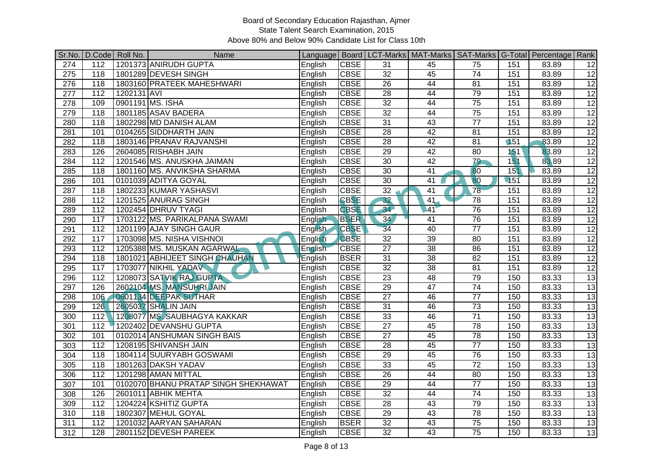| Sr.No.           |                  | D.Code Roll No. | Name                                 |                |             |                 |                 |                 |        | Language   Board   LCT-Marks   MAT-Marks   SAT-Marks   G-Total   Percentage   Rank |                 |
|------------------|------------------|-----------------|--------------------------------------|----------------|-------------|-----------------|-----------------|-----------------|--------|------------------------------------------------------------------------------------|-----------------|
| 274              | 112              |                 | 1201373 ANIRUDH GUPTA                | English        | <b>CBSE</b> | 31              | 45              | 75              | 151    | 83.89                                                                              | 12              |
| $\overline{275}$ | $\overline{118}$ |                 | 1801289 DEVESH SINGH                 | English        | <b>CBSE</b> | $\overline{32}$ | 45              | 74              | 151    | 83.89                                                                              | $\overline{12}$ |
| 276              | 118              |                 | 1803160 PRATEEK MAHESHWARI           | English        | <b>CBSE</b> | $\overline{26}$ | 44              | $\overline{81}$ | 151    | 83.89                                                                              | 12              |
| $\overline{277}$ | 112              | 1202131 AVI     |                                      | English        | <b>CBSE</b> | 28              | 44              | 79              | 151    | 83.89                                                                              | $\overline{12}$ |
| 278              | 109              |                 | 0901191 MS. ISHA                     | English        | <b>CBSE</b> | $\overline{32}$ | 44              | $\overline{75}$ | 151    | 83.89                                                                              | 12              |
| 279              | $\overline{118}$ |                 | 1801185 ASAV BADERA                  | English        | <b>CBSE</b> | $\overline{32}$ | 44              | 75              | 151    | 83.89                                                                              | $\overline{12}$ |
| 280              | $\overline{118}$ |                 | 1802298 MD DANISH ALAM               | English        | <b>CBSE</b> | $\overline{31}$ | 43              | $\overline{77}$ | 151    | 83.89                                                                              | $\overline{12}$ |
| 281              | 101              |                 | 0104265 SIDDHARTH JAIN               | English        | <b>CBSE</b> | $\overline{28}$ | 42              | $\overline{81}$ | 151    | 83.89                                                                              | $\overline{12}$ |
| 282              | 118              |                 | 1803146 PRANAV RAJVANSHI             | English        | <b>CBSE</b> | $\overline{28}$ | 42              | 81              | 151    | 83.89                                                                              | $\overline{12}$ |
| 283              | 126              |                 | 2604085 RISHABH JAIN                 | English        | <b>CBSE</b> | 29              | 42              | 80              | 151    | 83.89                                                                              | $\overline{12}$ |
| 284              | $\overline{112}$ |                 | 1201546 MS. ANUSKHA JAIMAN           | English        | <b>CBSE</b> | 30              | 42              | 79              | 151    | 83.89                                                                              | 12              |
| 285              | 118              |                 | 1801160 MS. ANVIKSHA SHARMA          | English        | <b>CBSE</b> | 30              | 41              | 80              | 151    | 83.89                                                                              | 12              |
| 286              | 101              |                 | 0101039 ADITYA GOYAL                 | English        | <b>CBSE</b> | $\overline{30}$ | $\overline{41}$ | $\overline{80}$ | $-151$ | 83.89                                                                              | 12              |
| 287              | 118              |                 | 1802233 KUMAR YASHASVI               | English        | <b>CBSE</b> | 32              | 41              | $\overline{78}$ | 151    | 83.89                                                                              | $\overline{12}$ |
| 288              | 112              |                 | 1201525 ANURAG SINGH                 | English        | <b>CBSE</b> | 32              | 41              | 78              | 151    | 83.89                                                                              | 12              |
| 289              | $\overline{112}$ |                 | 1202454 DHRUV TYAGI                  | English        | <b>CBSE</b> | 34              | 41              | 76              | 151    | 83.89                                                                              | $\overline{12}$ |
| 290              | 117              |                 | 1703122 MS. PARIKALPANA SWAMI        | English        | <b>BSER</b> | 34              | 41              | 76              | 151    | 83.89                                                                              | 12              |
| 291              | 112              |                 | 1201199 AJAY SINGH GAUR              | <b>English</b> | <b>CBSE</b> | 34              | 40              | $\overline{77}$ | 151    | 83.89                                                                              | $\overline{12}$ |
| 292              | 117              |                 | 1703098 MS. NISHA VISHNOI            | English        | <b>CBSE</b> | $\overline{32}$ | 39              | 80              | 151    | 83.89                                                                              | 12              |
| 293              | 112              |                 | 1205388 MS. MUSKAN AGARWAL           | English        | <b>CBSE</b> | $\overline{27}$ | 38              | 86              | 151    | 83.89                                                                              | $\overline{12}$ |
| 294              | 118              |                 | 1801021 ABHIJEET SINGH CHAUHAN       | English        | <b>BSER</b> | 31              | 38              | 82              | 151    | 83.89                                                                              | $\overline{12}$ |
| 295              | 117              |                 | 1703077 NIKHIL YADAV                 | English        | <b>CBSE</b> | 32              | 38              | $\overline{81}$ | 151    | 83.89                                                                              | $\overline{12}$ |
| 296              | 112              |                 | 1208073 SATVIK RAJ GUPTA             | English        | <b>CBSE</b> | $\overline{23}$ | $\overline{48}$ | 79              | 150    | 83.33                                                                              | 13              |
| 297              | 126              |                 | 2602104 MS. MANSUHRI JAIN            | English        | <b>CBSE</b> | 29              | 47              | 74              | 150    | 83.33                                                                              | $\overline{13}$ |
| 298              | 106              |                 | 0601134 DEEPAK SUTHAR                | English        | <b>CBSE</b> | $\overline{27}$ | 46              | $\overline{77}$ | 150    | 83.33                                                                              | 13              |
| 299              | 126              |                 | 2605037 SHALIN JAIN                  | English        | <b>CBSE</b> | 31              | 46              | $\overline{73}$ | 150    | 83.33                                                                              | 13              |
| 300              | 112              |                 | 1208077 MS. SAUBHAGYA KAKKAR         | English        | <b>CBSE</b> | 33              | 46              | $\overline{71}$ | 150    | 83.33                                                                              | 13              |
| 301              | 112              |                 | 1202402 DEVANSHU GUPTA               | English        | <b>CBSE</b> | $\overline{27}$ | 45              | 78              | 150    | 83.33                                                                              | $\overline{13}$ |
| 302              | 101              |                 | 0102014 ANSHUMAN SINGH BAIS          | English        | <b>CBSE</b> | $\overline{27}$ | 45              | $\overline{78}$ | 150    | 83.33                                                                              | 13              |
| 303              | 112              |                 | 1208195 SHIVANSH JAIN                | English        | <b>CBSE</b> | $\overline{28}$ | 45              | $\overline{77}$ | 150    | 83.33                                                                              | 13              |
| 304              | $\overline{118}$ |                 | 1804114 SUURYABH GOSWAMI             | English        | <b>CBSE</b> | 29              | 45              | 76              | 150    | 83.33                                                                              | 13              |
| 305              | 118              |                 | 1801263 DAKSH YADAV                  | English        | <b>CBSE</b> | 33              | 45              | $\overline{72}$ | 150    | 83.33                                                                              | $\overline{13}$ |
| 306              | 112              |                 | 1201298 AMAN MITTAL                  | English        | <b>CBSE</b> | $\overline{26}$ | 44              | 80              | 150    | 83.33                                                                              | 13              |
| 307              | 101              |                 | 0102070 BHANU PRATAP SINGH SHEKHAWAT | English        | <b>CBSE</b> | 29              | 44              | $\overline{77}$ | 150    | 83.33                                                                              | 13              |
| 308              | 126              |                 | 2601011 ABHIK MEHTA                  | English        | <b>CBSE</b> | $\overline{32}$ | 44              | 74              | 150    | 83.33                                                                              | $\overline{13}$ |
| 309              | 112              |                 | 1204224 KSHITIZ GUPTA                | English        | <b>CBSE</b> | $\overline{28}$ | 43              | 79              | 150    | 83.33                                                                              | $\overline{13}$ |
| 310              | 118              |                 | 1802307 MEHUL GOYAL                  | English        | <b>CBSE</b> | 29              | 43              | 78              | 150    | 83.33                                                                              | 13              |
| 311              | 112              |                 | 1201032 AARYAN SAHARAN               | English        | <b>BSER</b> | 32              | 43              | 75              | 150    | 83.33                                                                              | $\overline{13}$ |
| 312              | 128              |                 | 2801152 DEVESH PAREEK                | English        | <b>CBSE</b> | $\overline{32}$ | 43              | 75              | 150    | 83.33                                                                              | 13              |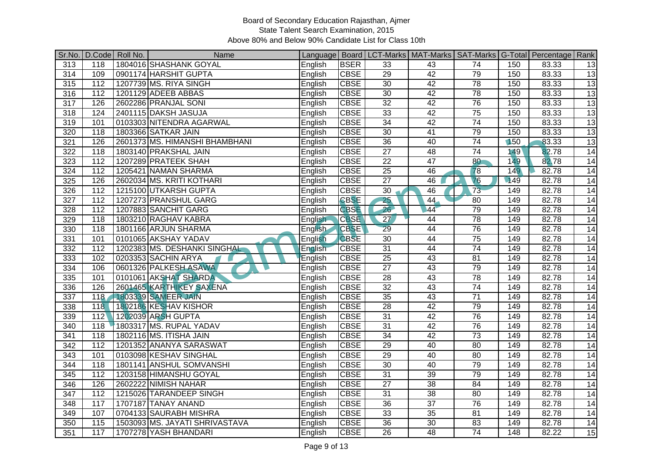| Sr.No.           |                  | D.Code Roll No. | Name                           |                |             |                 | Language   Board   LCT-Marks   MAT-Marks   SAT-Marks   G-Total   Percentage   Rank |                 |     |       |    |
|------------------|------------------|-----------------|--------------------------------|----------------|-------------|-----------------|------------------------------------------------------------------------------------|-----------------|-----|-------|----|
| 313              | 118              |                 | 1804016 SHASHANK GOYAL         | English        | <b>BSER</b> | 33              | 43                                                                                 | 74              | 150 | 83.33 | 13 |
| 314              | 109              |                 | 0901174 HARSHIT GUPTA          | English        | <b>CBSE</b> | 29              | 42                                                                                 | 79              | 150 | 83.33 | 13 |
| 315              | 112              |                 | 1207739 MS. RIYA SINGH         | English        | <b>CBSE</b> | 30              | 42                                                                                 | 78              | 150 | 83.33 | 13 |
| 316              | $\overline{112}$ |                 | 1201129 ADEEB ABBAS            | English        | <b>CBSE</b> | $\overline{30}$ | 42                                                                                 | 78              | 150 | 83.33 | 13 |
| $\overline{317}$ | 126              |                 | 2602286 PRANJAL SONI           | English        | <b>CBSE</b> | 32              | 42                                                                                 | 76              | 150 | 83.33 | 13 |
| 318              | 124              |                 | 2401115 DAKSH JASUJA           | English        | <b>CBSE</b> | 33              | 42                                                                                 | 75              | 150 | 83.33 | 13 |
| 319              | 101              |                 | 0103303 NITENDRA AGARWAL       | English        | <b>CBSE</b> | 34              | 42                                                                                 | 74              | 150 | 83.33 | 13 |
| 320              | 118              |                 | 1803366 SATKAR JAIN            | English        | <b>CBSE</b> | $\overline{30}$ | $\overline{41}$                                                                    | 79              | 150 | 83.33 | 13 |
| 321              | 126              |                 | 2601373 MS. HIMANSHI BHAMBHANI | English        | <b>CBSE</b> | $\overline{36}$ | 40                                                                                 | 74              | 150 | 83.33 | 13 |
| 322              | 118              |                 | 1803140 PRAKSHAL JAIN          | English        | <b>CBSE</b> | $\overline{27}$ | 48                                                                                 | 74              | 149 | 82.78 | 14 |
| 323              | 112              |                 | 1207289 PRATEEK SHAH           | English        | <b>CBSE</b> | $\overline{22}$ | 47                                                                                 | 80              | 149 | 82.78 | 14 |
| 324              | 112              |                 | 1205421 NAMAN SHARMA           | English        | <b>CBSE</b> | 25              | 46                                                                                 | 78              | 149 | 82.78 | 14 |
| 325              | 126              |                 | 2602034 MS. KRITI KOTHARI      | English        | <b>CBSE</b> | $\overline{27}$ | 46                                                                                 | $\overline{76}$ | 149 | 82.78 | 14 |
| 326              | $\overline{112}$ |                 | 1215100 UTKARSH GUPTA          | English        | <b>CBSE</b> | 30              | 46                                                                                 | $\overline{73}$ | 149 | 82.78 | 14 |
| 327              | $\frac{11}{2}$   |                 | 1207273 PRANSHUL GARG          | English        | <b>CBSE</b> | 25              | 44                                                                                 | 80              | 149 | 82.78 | 14 |
| 328              | 112              |                 | 1207883 SANCHIT GARG           | English        | <b>CBSE</b> | 26              | 44                                                                                 | 79              | 149 | 82.78 | 14 |
| 329              | 118              |                 | 1803210 RAGHAV KABRA           | English        | <b>CBSE</b> | 27              | 44                                                                                 | 78              | 149 | 82.78 | 14 |
| 330              | 118              |                 | 1801166 ARJUN SHARMA           | <b>English</b> | <b>CBSE</b> | $\overline{29}$ | 44                                                                                 | 76              | 149 | 82.78 | 14 |
| 331              | 101              |                 | 0101065 AKSHAY YADAV           | English        | <b>CBSE</b> | 30              | 44                                                                                 | $\overline{75}$ | 149 | 82.78 | 14 |
| 332              | 112              |                 | 1202383 MS. DESHANKI SINGHAL   | English        | <b>CBSE</b> | $\overline{31}$ | 44                                                                                 | $\overline{74}$ | 149 | 82.78 | 14 |
| 333              | 102              |                 | 0203353 SACHIN ARYA            | English        | <b>CBSE</b> | 25              | 43                                                                                 | 81              | 149 | 82.78 | 14 |
| 334              | 106              |                 | 0601326 PALKESH ASAWA          | English        | <b>CBSE</b> | $\overline{27}$ | 43                                                                                 | 79              | 149 | 82.78 | 14 |
| 335              | 101              |                 | 0101061 AKSHAT SHARDA          | English        | <b>CBSE</b> | $\overline{28}$ | 43                                                                                 | $\overline{78}$ | 149 | 82.78 | 14 |
| 336              | 126              |                 | 2601465 KARTHIKEY SAXENA       | English        | <b>CBSE</b> | 32              | 43                                                                                 | 74              | 149 | 82.78 | 14 |
| 337              | 118              |                 | 1803339 SAMEER JAIN            | English        | <b>CBSE</b> | 35              | 43                                                                                 | $\overline{71}$ | 149 | 82.78 | 14 |
| 338              | 118              |                 | 1802186 KESHAV KISHOR          | English        | <b>CBSE</b> | 28              | 42                                                                                 | 79              | 149 | 82.78 | 14 |
| 339              | 112              |                 | 1202039 ARSH GUPTA             | English        | <b>CBSE</b> | $\overline{31}$ | 42                                                                                 | 76              | 149 | 82.78 | 14 |
| 340              | 118              |                 | 1803317 MS. RUPAL YADAV        | English        | <b>CBSE</b> | 31              | 42                                                                                 | 76              | 149 | 82.78 | 14 |
| 341              | 118              |                 | 1802116 MS. ITISHA JAIN        | English        | <b>CBSE</b> | 34              | 42                                                                                 | $\overline{73}$ | 149 | 82.78 | 14 |
| 342              | 112              |                 | 1201352 ANANYA SARASWAT        | English        | <b>CBSE</b> | 29              | 40                                                                                 | 80              | 149 | 82.78 | 14 |
| 343              | 101              |                 | 0103098 KESHAV SINGHAL         | English        | <b>CBSE</b> | 29              | 40                                                                                 | 80              | 149 | 82.78 | 14 |
| 344              | 118              |                 | 1801141 ANSHUL SOMVANSHI       | English        | <b>CBSE</b> | 30              | 40                                                                                 | 79              | 149 | 82.78 | 14 |
| 345              | 112              |                 | 1203158 HIMANSHU GOYAL         | English        | <b>CBSE</b> | $\overline{31}$ | 39                                                                                 | 79              | 149 | 82.78 | 14 |
| 346              | 126              |                 | 2602222 NIMISH NAHAR           | English        | <b>CBSE</b> | $\overline{27}$ | $\overline{38}$                                                                    | $\overline{84}$ | 149 | 82.78 | 14 |
| $\frac{1}{347}$  | $\overline{112}$ |                 | 1215026 TARANDEEP SINGH        | English        | <b>CBSE</b> | 31              | 38                                                                                 | 80              | 149 | 82.78 | 14 |
| 348              | 117              |                 | 1707187 TANAY ANAND            | English        | <b>CBSE</b> | 36              | $\overline{37}$                                                                    | 76              | 149 | 82.78 | 14 |
| 349              | 107              |                 | 0704133 SAURABH MISHRA         | English        | <b>CBSE</b> | 33              | $\overline{35}$                                                                    | 81              | 149 | 82.78 | 14 |
| 350              | 115              |                 | 1503093 MS. JAYATI SHRIVASTAVA | English        | <b>CBSE</b> | 36              | 30                                                                                 | 83              | 149 | 82.78 | 14 |
| 351              | 117              |                 | 1707278 YASH BHANDARI          | English        | <b>CBSE</b> | 26              | 48                                                                                 | $\overline{74}$ | 148 | 82.22 | 15 |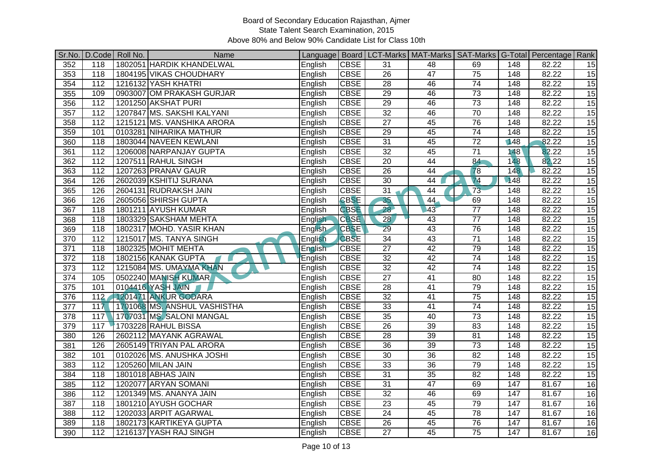| Sr.No.           |                  | D.Code Roll No. | Name                         |                |             |                 | Language   Board   LCT-Marks   MAT-Marks   SAT-Marks   G-Total   Percentage   Rank |                 |                  |       |                 |
|------------------|------------------|-----------------|------------------------------|----------------|-------------|-----------------|------------------------------------------------------------------------------------|-----------------|------------------|-------|-----------------|
| 352              | 118              |                 | 1802051 HARDIK KHANDELWAL    | English        | <b>CBSE</b> | 31              | 48                                                                                 | 69              | 148              | 82.22 | 15              |
| $\frac{1}{353}$  | 118              |                 | 1804195 VIKAS CHOUDHARY      | English        | <b>CBSE</b> | $\overline{26}$ | 47                                                                                 | 75              | 148              | 82.22 | 15              |
| 354              | 112              |                 | 1216132 YASH KHATRI          | English        | <b>CBSE</b> | 28              | 46                                                                                 | 74              | 148              | 82.22 | 15              |
| 355              | 109              |                 | 0903007 OM PRAKASH GURJAR    | English        | <b>CBSE</b> | 29              | 46                                                                                 | $\overline{73}$ | $\overline{148}$ | 82.22 | $\overline{15}$ |
| 356              | 112              |                 | 1201250 AKSHAT PURI          | English        | <b>CBSE</b> | $\overline{29}$ | 46                                                                                 | 73              | 148              | 82.22 | $\overline{15}$ |
| 357              | 112              |                 | 1207847 MS. SAKSHI KALYANI   | English        | <b>CBSE</b> | $\overline{32}$ | 46                                                                                 | 70              | 148              | 82.22 | 15              |
| 358              | 112              |                 | 1215121 MS. VANSHIKA ARORA   | English        | <b>CBSE</b> | $\overline{27}$ | 45                                                                                 | 76              | 148              | 82.22 | $\overline{15}$ |
| 359              | 101              |                 | 0103281 NIHARIKA MATHUR      | English        | <b>CBSE</b> | 29              | 45                                                                                 | $\overline{74}$ | 148              | 82.22 | 15              |
| 360              | 118              |                 | 1803044 NAVEEN KEWLANI       | English        | <b>CBSE</b> | $\overline{31}$ | 45                                                                                 | $\overline{72}$ | 148              | 82.22 | $\overline{15}$ |
| 361              | $\overline{112}$ |                 | 1206008 NARPANJAY GUPTA      | English        | <b>CBSE</b> | $\overline{32}$ | 45                                                                                 | $\overline{71}$ | 148              | 82.22 | 15              |
| 362              | $\overline{112}$ |                 | 1207511 RAHUL SINGH          | English        | <b>CBSE</b> | $\overline{20}$ | 44                                                                                 | 84              | 148              | 82.22 | 15              |
| 363              | 112              |                 | 1207263 PRANAV GAUR          | English        | <b>CBSE</b> | 26              | 44                                                                                 | 78              | 148              | 82.22 | 15              |
| 364              | 126              |                 | 2602039 KSHITIJ SURANA       | English        | <b>CBSE</b> | $\overline{30}$ | 44                                                                                 | $\overline{74}$ | 148              | 82.22 | 15              |
| 365              | 126              |                 | 2604131 RUDRAKSH JAIN        | English        | <b>CBSE</b> | 31              | 44                                                                                 | $\overline{73}$ | 148              | 82.22 | 15              |
| 366              | 126              |                 | 2605056 SHIRSH GUPTA         | English        | <b>CBSE</b> | 35              | 44                                                                                 | 69              | 148              | 82.22 | 15              |
| 367              | 118              |                 | 1801211 AYUSH KUMAR          | English        | <b>CBSE</b> | 28              | 43                                                                                 | $\overline{77}$ | 148              | 82.22 | $\overline{15}$ |
| 368              | $\overline{118}$ |                 | 1803329 SAKSHAM MEHTA        | English        | <b>CBSE</b> | 28              | 43                                                                                 | $\overline{77}$ | 148              | 82.22 | $\overline{15}$ |
| 369              | 118              |                 | 1802317 MOHD. YASIR KHAN     | <b>English</b> | <b>CBSE</b> | $\overline{29}$ | 43                                                                                 | 76              | 148              | 82.22 | $\overline{15}$ |
| 370              | 112              |                 | 1215017 MS. TANYA SINGH      | English        | <b>CBSE</b> | 34              | 43                                                                                 | $\overline{71}$ | 148              | 82.22 | 15              |
| 371              | 118              |                 | 1802325 MOHIT MEHTA          | English        | <b>CBSE</b> | $\overline{27}$ | 42                                                                                 | 79              | 148              | 82.22 | 15              |
| $\overline{372}$ | 118              |                 | 1802156 KANAK GUPTA          | English        | <b>CBSE</b> | 32              | 42                                                                                 | 74              | 148              | 82.22 | 15              |
| 373              | 112              |                 | 1215084 MS. UMAYMA KHAN      | English        | <b>CBSE</b> | 32              | $\overline{42}$                                                                    | $\overline{74}$ | 148              | 82.22 | 15              |
| 374              | 105              |                 | 0502240 MANISH KUMAR         | English        | <b>CBSE</b> | $\overline{27}$ | 41                                                                                 | 80              | 148              | 82.22 | 15              |
| $\frac{1}{375}$  | 101              |                 | 0104416 YASH JAIN            | English        | <b>CBSE</b> | $\overline{28}$ | 41                                                                                 | 79              | $\overline{148}$ | 82.22 | $\overline{15}$ |
| 376              | 112              |                 | 1201471 ANKUR GODARA         | English        | <b>CBSE</b> | 32              | 41                                                                                 | 75              | 148              | 82.22 | $\overline{15}$ |
| $\overline{377}$ | 117              |                 | 1701068 MS. ANSHUL VASHISTHA | English        | <b>CBSE</b> | 33              | $\overline{41}$                                                                    | 74              | 148              | 82.22 | 15              |
| 378              | 117              |                 | 1707031 MS. SALONI MANGAL    | English        | <b>CBSE</b> | $\overline{35}$ | 40                                                                                 | 73              | 148              | 82.22 | 15              |
| 379              | 117              |                 | 1703228 RAHUL BISSA          | English        | <b>CBSE</b> | 26              | 39                                                                                 | 83              | 148              | 82.22 | 15              |
| 380              | 126              |                 | 2602112 MAYANK AGRAWAL       | English        | <b>CBSE</b> | 28              | 39                                                                                 | $\overline{81}$ | 148              | 82.22 | 15              |
| 381              | 126              |                 | 2605149 TRIYAN PAL ARORA     | English        | <b>CBSE</b> | $\overline{36}$ | 39                                                                                 | $\overline{73}$ | 148              | 82.22 | 15              |
| 382              | 101              |                 | 0102026 MS. ANUSHKA JOSHI    | English        | <b>CBSE</b> | 30              | 36                                                                                 | 82              | 148              | 82.22 | $\overline{15}$ |
| 383              | $\overline{112}$ |                 | 1205260 MILAN JAIN           | English        | <b>CBSE</b> | 33              | $\overline{36}$                                                                    | 79              | 148              | 82.22 | 15              |
| 384              | 118              |                 | 1801018 ABHAS JAIN           | English        | <b>CBSE</b> | 31              | $\overline{35}$                                                                    | $\overline{82}$ | 148              | 82.22 | $\overline{15}$ |
| 385              | $\overline{1}12$ |                 | 1202077 ARYAN SOMANI         | English        | <b>CBSE</b> | 31              | 47                                                                                 | 69              | 147              | 81.67 | 16              |
| 386              | $\overline{112}$ |                 | 1201349 MS. ANANYA JAIN      | English        | <b>CBSE</b> | 32              | 46                                                                                 | 69              | 147              | 81.67 | 16              |
| 387              | 118              |                 | 1801210 AYUSH GOCHAR         | English        | <b>CBSE</b> | $\overline{23}$ | 45                                                                                 | 79              | 147              | 81.67 | 16              |
| 388              | 112              |                 | 1202033 ARPIT AGARWAL        | English        | <b>CBSE</b> | $\overline{24}$ | 45                                                                                 | $\overline{78}$ | 147              | 81.67 | 16              |
| 389              | 118              |                 | 1802173 KARTIKEYA GUPTA      | English        | <b>CBSE</b> | 26              | 45                                                                                 | 76              | 147              | 81.67 | 16              |
| 390              | 112              |                 | 1216137 YASH RAJ SINGH       | English        | <b>CBSE</b> | $\overline{27}$ | 45                                                                                 | 75              | 147              | 81.67 | 16              |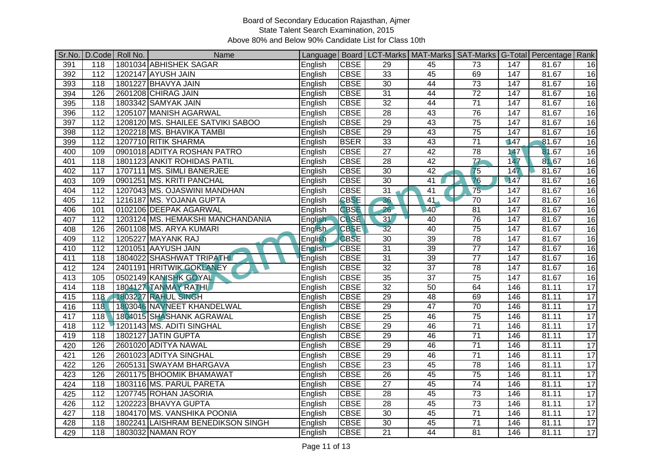| Sr.No. | D.Code   Roll No. | Name                              |                |                   |                 | Language   Board   LCT-Marks   MAT-Marks   SAT-Marks   G-Total   Percentage   Rank |                          |                  |       |                 |
|--------|-------------------|-----------------------------------|----------------|-------------------|-----------------|------------------------------------------------------------------------------------|--------------------------|------------------|-------|-----------------|
| 391    | 118               | 1801034 ABHISHEK SAGAR            | English        | <b>CBSE</b>       | 29              | 45                                                                                 | 73                       | 147              | 81.67 | 16              |
| 392    | $\frac{11}{2}$    | 1202147 AYUSH JAIN                | English        | <b>CBSE</b>       | 33              | 45                                                                                 | 69                       | 147              | 81.67 | 16              |
| 393    | $\overline{118}$  | 1801227 BHAVYA JAIN               | English        | <b>CBSE</b>       | 30              | 44                                                                                 | 73                       | $\overline{147}$ | 81.67 | 16              |
| 394    | 126               | 2601208 CHIRAG JAIN               | English        | <b>CBSE</b>       | 31              | 44                                                                                 | $\overline{72}$          | 147              | 81.67 | 16              |
| 395    | 118               | 1803342 SAMYAK JAIN               | English        | <b>CBSE</b>       | 32              | $\overline{44}$                                                                    | $\overline{71}$          | 147              | 81.67 | 16              |
| 396    | $\frac{112}{2}$   | 1205107 MANISH AGARWAL            | English        | <b>CBSE</b>       | 28              | 43                                                                                 | 76                       | 147              | 81.67 | 16              |
| 397    | $\overline{112}$  | 1208120 MS. SHAILEE SATVIKI SABOO | English        | <b>CBSE</b>       | 29              | 43                                                                                 | $\overline{75}$          | 147              | 81.67 | 16              |
| 398    | $\frac{112}{2}$   | 1202218 MS. BHAVIKA TAMBI         | English        | <b>CBSE</b>       | 29              | 43                                                                                 | $\overline{75}$          | 147              | 81.67 | $\overline{16}$ |
| 399    | $\frac{11}{2}$    | 1207710 RITIK SHARMA              | English        | <b>BSER</b>       | $\overline{33}$ | $\overline{43}$                                                                    | $\overline{71}$          | 147              | 81.67 | 16              |
| 400    | 109               | 0901018 ADITYA ROSHAN PATRO       | English        | <b>CBSE</b>       | $\overline{27}$ | 42                                                                                 | 78                       | 147              | 81.67 | 16              |
| 401    | 118               | 1801123 ANKIT ROHIDAS PATIL       | English        | <b>CBSE</b>       | $\overline{28}$ | 42                                                                                 | $\overline{\mathcal{U}}$ | 147              | 81.67 | 16              |
| 402    | 117               | 1707111 MS. SIMLI BANERJEE        | English        | <b>CBSE</b>       | 30              | 42                                                                                 | 75                       | 147              | 81.67 | 16              |
| 403    | 109               | 0901251 MS. KRITI PANCHAL         | English        | <b>CBSE</b>       | 30              | 41                                                                                 | 76                       | 147              | 81.67 | 16              |
| 404    | 112               | 1207043 MS. OJASWINI MANDHAN      | English        | <b>CBSE</b>       | 31              | 41                                                                                 | 75                       | 147              | 81.67 | 16              |
| 405    | $\frac{11}{2}$    | 1216187 MS. YOJANA GUPTA          | English        | <b>CBSE</b>       | 36              | 41                                                                                 | $\overline{70}$          | 147              | 81.67 | 16              |
| 406    | 101               | 0102106 DEEPAK AGARWAL            | English        | <b>CBSE</b>       | 26              | 40                                                                                 | 81                       | 147              | 81.67 | 16              |
| 407    | 112               | 1203124 MS. HEMAKSHI MANCHANDANIA | English        | <b>CBSE</b>       | 31              | 40                                                                                 | 76                       | 147              | 81.67 | $\overline{16}$ |
| 408    | 126               | 2601108 MS. ARYA KUMARI           | <b>English</b> | CBSE <sup>V</sup> | 32              | 40                                                                                 | $\overline{75}$          | 147              | 81.67 | 16              |
| 409    | 112               | <b>1205227 MAYANK RAJ</b>         | English        | <b>CBSE</b>       | 30              | 39                                                                                 | 78                       | 147              | 81.67 | 16              |
| 410    | 112               | 1201051 AAYUSH JAIN               | English        | <b>CBSE</b>       | 31              | 39                                                                                 | $\overline{77}$          | 147              | 81.67 | 16              |
| 411    | 118               | 1804022 SHASHWAT TRIPATH          | English        | <b>CBSE</b>       | 31              | 39                                                                                 | $\overline{77}$          | 147              | 81.67 | 16              |
| 412    | 124               | 2401191 HRITWIK GOKLANEY          | English        | <b>CBSE</b>       | 32              | $\overline{37}$                                                                    | 78                       | 147              | 81.67 | 16              |
| 413    | 105               | 0502149 KANISHK GOYAL             | English        | <b>CBSE</b>       | 35              | $\overline{37}$                                                                    | $\overline{75}$          | $\overline{147}$ | 81.67 | $\overline{16}$ |
| 414    | 118               | 1804127 TANMAY RATHI              | English        | <b>CBSE</b>       | 32              | 50                                                                                 | 64                       | 146              | 81.11 | $\overline{17}$ |
| 415    | 118               | 1803227 RAHUL SINGH               | English        | <b>CBSE</b>       | 29              | 48                                                                                 | 69                       | 146              | 81.11 | $\overline{17}$ |
| 416    | 118               | 1803046 NAVNEET KHANDELWAL        | English        | <b>CBSE</b>       | 29              | $\overline{47}$                                                                    | 70                       | 146              | 81.11 | 17              |
| 417    | 118               | 1804015 SHASHANK AGRAWAL          | English        | <b>CBSE</b>       | $\overline{25}$ | 46                                                                                 | $\overline{75}$          | 146              | 81.11 | $\overline{17}$ |
| 418    | $\overline{112}$  | 1201143 MS. ADITI SINGHAL         | English        | <b>CBSE</b>       | 29              | 46                                                                                 | $\overline{71}$          | 146              | 81.11 | $\overline{17}$ |
| 419    | 118               | 1802127 JATIN GUPTA               | English        | <b>CBSE</b>       | 29              | 46                                                                                 | $\overline{71}$          | 146              | 81.11 | $\overline{17}$ |
| 420    | 126               | 2601020 ADITYA NAWAL              | English        | <b>CBSE</b>       | 29              | 46                                                                                 | $\overline{71}$          | 146              | 81.11 | $\overline{17}$ |
| 421    | 126               | 2601023 ADITYA SINGHAL            | English        | <b>CBSE</b>       | 29              | 46                                                                                 | $\overline{71}$          | 146              | 81.11 | 17              |
| 422    | 126               | 2605131 SWAYAM BHARGAVA           | English        | <b>CBSE</b>       | $\overline{23}$ | 45                                                                                 | $\overline{78}$          | 146              | 81.11 | $\overline{17}$ |
| 423    | 126               | 2601175 BHOOMIK BHAMAWAT          | English        | <b>CBSE</b>       | $\overline{26}$ | 45                                                                                 | $\overline{75}$          | 146              | 81.11 | $\overline{17}$ |
| 424    | $\overline{118}$  | 1803116 MS. PARUL PARETA          | English        | <b>CBSE</b>       | $\overline{27}$ | 45                                                                                 | $\overline{74}$          | 146              | 81.11 | $\overline{17}$ |
| 425    | 112               | 1207745 ROHAN JASORIA             | English        | <b>CBSE</b>       | 28              | 45                                                                                 | 73                       | 146              | 81.11 | 17              |
| 426    | $\overline{112}$  | 1202223 BHAVYA GUPTA              | English        | <b>CBSE</b>       | $\overline{28}$ | $\overline{45}$                                                                    | $\overline{73}$          | 146              | 81.11 | $\overline{17}$ |
| 427    | 118               | 1804170 MS. VANSHIKA POONIA       | English        | <b>CBSE</b>       | 30              | 45                                                                                 | $\overline{71}$          | 146              | 81.11 | 17              |
| 428    | $\overline{118}$  | 1802241 LAISHRAM BENEDIKSON SINGH | English        | <b>CBSE</b>       | 30              | 45                                                                                 | $\overline{71}$          | 146              | 81.11 | $\overline{17}$ |
| 429    | 118               | 1803032 NAMAN ROY                 | English        | <b>CBSE</b>       | $\overline{21}$ | 44                                                                                 | 81                       | 146              | 81.11 | 17              |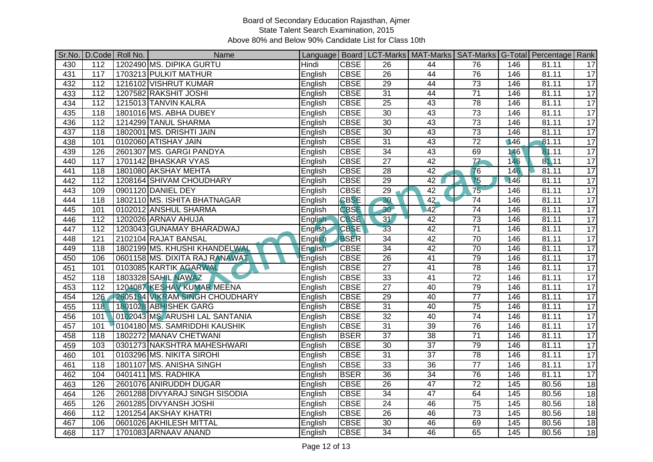| Sr.No. |                  | D.Code Roll No. | Name                            |                |             |                 | Language   Board   LCT-Marks   MAT-Marks   SAT-Marks   G-Total   Percentage   Rank |                          |     |       |                 |
|--------|------------------|-----------------|---------------------------------|----------------|-------------|-----------------|------------------------------------------------------------------------------------|--------------------------|-----|-------|-----------------|
| 430    | 112              |                 | 1202490 MS. DIPIKA GURTU        | Hindi          | <b>CBSE</b> | 26              | 44                                                                                 | 76                       | 146 | 81.11 | 17              |
| 431    | $\overline{117}$ |                 | 1703213 PULKIT MATHUR           | English        | <b>CBSE</b> | $\overline{26}$ | 44                                                                                 | 76                       | 146 | 81.11 | 17              |
| 432    | 112              |                 | 1216102 VISHRUT KUMAR           | English        | <b>CBSE</b> | 29              | 44                                                                                 | 73                       | 146 | 81.11 | 17              |
| 433    | 112              |                 | 1207582 RAKSHIT JOSHI           | English        | <b>CBSE</b> | 31              | 44                                                                                 | $\overline{71}$          | 146 | 81.11 | 17              |
| 434    | $\frac{112}{2}$  |                 | 1215013 TANVIN KALRA            | English        | <b>CBSE</b> | $\overline{25}$ | 43                                                                                 | $\overline{78}$          | 146 | 81.11 | $\overline{17}$ |
| 435    | 118              |                 | 1801016 MS. ABHA DUBEY          | English        | <b>CBSE</b> | 30              | 43                                                                                 | $\overline{73}$          | 146 | 81.11 | 17              |
| 436    | 112              |                 | 1214299 TANUL SHARMA            | English        | <b>CBSE</b> | 30              | 43                                                                                 | 73                       | 146 | 81.11 | $\overline{17}$ |
| 437    | 118              |                 | 1802001 MS. DRISHTI JAIN        | English        | <b>CBSE</b> | 30              | 43                                                                                 | $\overline{73}$          | 146 | 81.11 | 17              |
| 438    | 101              |                 | 0102060 ATISHAY JAIN            | English        | <b>CBSE</b> | $\overline{31}$ | 43                                                                                 | $\overline{72}$          | 146 | 81.11 | 17              |
| 439    | 126              |                 | 2601307 MS. GARGI PANDYA        | English        | <b>CBSE</b> | $\overline{34}$ | 43                                                                                 | 69                       | 146 | 81.11 | 17              |
| 440    | 117              |                 | 1701142 BHASKAR VYAS            | English        | <b>CBSE</b> | 27              | 42                                                                                 | $\overline{\mathcal{U}}$ | 146 | 81.11 | 17              |
| 441    | 118              |                 | 1801080 AKSHAY MEHTA            | English        | <b>CBSE</b> | 28              | 42                                                                                 | 76                       | 146 | 81.11 | 17              |
| 442    | $\overline{112}$ |                 | 1208164 SHIVAM CHOUDHARY        | English        | <b>CBSE</b> | 29              | 42                                                                                 | $\overline{75}$          | 146 | 81.11 | 17              |
| 443    | 109              |                 | 0901120 DANIEL DEY              | English        | <b>CBSE</b> | 29              | 42                                                                                 | 75                       | 146 | 81.11 | $\overline{17}$ |
| 444    | 118              |                 | 1802110 MS. ISHITA BHATNAGAR    | English        | <b>CBSE</b> | 30              | 42                                                                                 | $\overline{74}$          | 146 | 81.11 | $\overline{17}$ |
| 445    | 101              |                 | 0102012 ANSHUL SHARMA           | English        | <b>CBSE</b> | 30 <sup>2</sup> | 42                                                                                 | 74                       | 146 | 81.11 | 17              |
| 446    | 112              |                 | 1202026 ARNAV AHUJA             | English        | <b>CBSE</b> | $\overline{31}$ | 42                                                                                 | 73                       | 146 | 81.11 | $\overline{17}$ |
| 447    | 112              |                 | 1203043 GUNAMAY BHARADWAJ       | <b>English</b> | <b>CBSE</b> | $\overline{33}$ | 42                                                                                 | $\overline{71}$          | 146 | 81.11 | $\overline{17}$ |
| 448    | 121              |                 | 2102104 RAJAT BANSAL            | English        | <b>BSER</b> | 34              | 42                                                                                 | 70                       | 146 | 81.11 | 17              |
| 449    | 118              |                 | 1802199 MS. KHUSHI KHANDELWAL   | English        | <b>CBSE</b> | 34              | 42                                                                                 | 70                       | 146 | 81.11 | 17              |
| 450    | 106              |                 | 0601158 MS. DIXITA RAJ RANAWAT  | English        | <b>CBSE</b> | 26              | 41                                                                                 | 79                       | 146 | 81.11 | $\overline{17}$ |
| 451    | 101              |                 | 0103085 KARTIK AGARWAL          | English        | <b>CBSE</b> | $\overline{27}$ | $\overline{41}$                                                                    | $\overline{78}$          | 146 | 81.11 | 17              |
| 452    | 118              |                 | <b>1803328 SAHIL NAWAZ</b>      | English        | <b>CBSE</b> | 33              | 41                                                                                 | $\overline{72}$          | 146 | 81.11 | 17              |
| 453    | $\overline{112}$ |                 | 1204087 KESHAV KUMAR MEENA      | English        | <b>CBSE</b> | $\overline{27}$ | 40                                                                                 | 79                       | 146 | 81.11 | 17              |
| 454    | 126              |                 | 2605194 VIKRAM SINGH CHOUDHARY  | English        | <b>CBSE</b> | 29              | 40                                                                                 | $\overline{77}$          | 146 | 81.11 | 17              |
| 455    | 118              |                 | 1801028 ABHISHEK GARG           | English        | <b>CBSE</b> | $\overline{31}$ | 40                                                                                 | $\overline{75}$          | 146 | 81.11 | 17              |
| 456    | 101              |                 | 0102043 MS. ARUSHI LAL SANTANIA | English        | <b>CBSE</b> | $\overline{32}$ | 40                                                                                 | $\overline{74}$          | 146 | 81.11 | 17              |
| 457    | 101              |                 | 0104180 MS. SAMRIDDHI KAUSHIK   | English        | <b>CBSE</b> | 31              | 39                                                                                 | 76                       | 146 | 81.11 | 17              |
| 458    | 118              |                 | 1802272 MANAV CHETWANI          | English        | <b>BSER</b> | $\overline{37}$ | 38                                                                                 | $\overline{71}$          | 146 | 81.11 | $\overline{17}$ |
| 459    | 103              |                 | 0301273 NAKSHTRA MAHESHWARI     | English        | <b>CBSE</b> | 30              | $\overline{37}$                                                                    | 79                       | 146 | 81.11 | 17              |
| 460    | 101              |                 | 0103296 MS. NIKITA SIROHI       | English        | <b>CBSE</b> | 31              | $\overline{37}$                                                                    | 78                       | 146 | 81.11 | 17              |
| 461    | 118              |                 | 1801107 MS. ANISHA SINGH        | English        | <b>CBSE</b> | 33              | $\overline{36}$                                                                    | $\overline{77}$          | 146 | 81.11 | 17              |
| 462    | 104              |                 | 0401411 MS. RADHIKA             | English        | <b>BSER</b> | $\overline{36}$ | $\overline{34}$                                                                    | 76                       | 146 | 81.11 | 17              |
| 463    | 126              |                 | 2601076 ANIRUDDH DUGAR          | English        | <b>CBSE</b> | 26              | 47                                                                                 | 72                       | 145 | 80.56 | 18              |
| 464    | 126              |                 | 2601288 DIVYARAJ SINGH SISODIA  | English        | <b>CBSE</b> | 34              | 47                                                                                 | 64                       | 145 | 80.56 | 18              |
| 465    | 126              |                 | 2601285 DIVYANSH JOSHI          | English        | <b>CBSE</b> | $\overline{24}$ | 46                                                                                 | 75                       | 145 | 80.56 | $\overline{18}$ |
| 466    | $\overline{112}$ |                 | 1201254 AKSHAY KHATRI           | English        | <b>CBSE</b> | $\overline{26}$ | 46                                                                                 | $\overline{73}$          | 145 | 80.56 | $\overline{18}$ |
| 467    | 106              |                 | 0601026 AKHILESH MITTAL         | English        | <b>CBSE</b> | 30              | 46                                                                                 | 69                       | 145 | 80.56 | $\overline{18}$ |
| 468    | 117              |                 | 1701083 ARNAAV ANAND            | English        | <b>CBSE</b> | $\overline{34}$ | 46                                                                                 | 65                       | 145 | 80.56 | 18              |